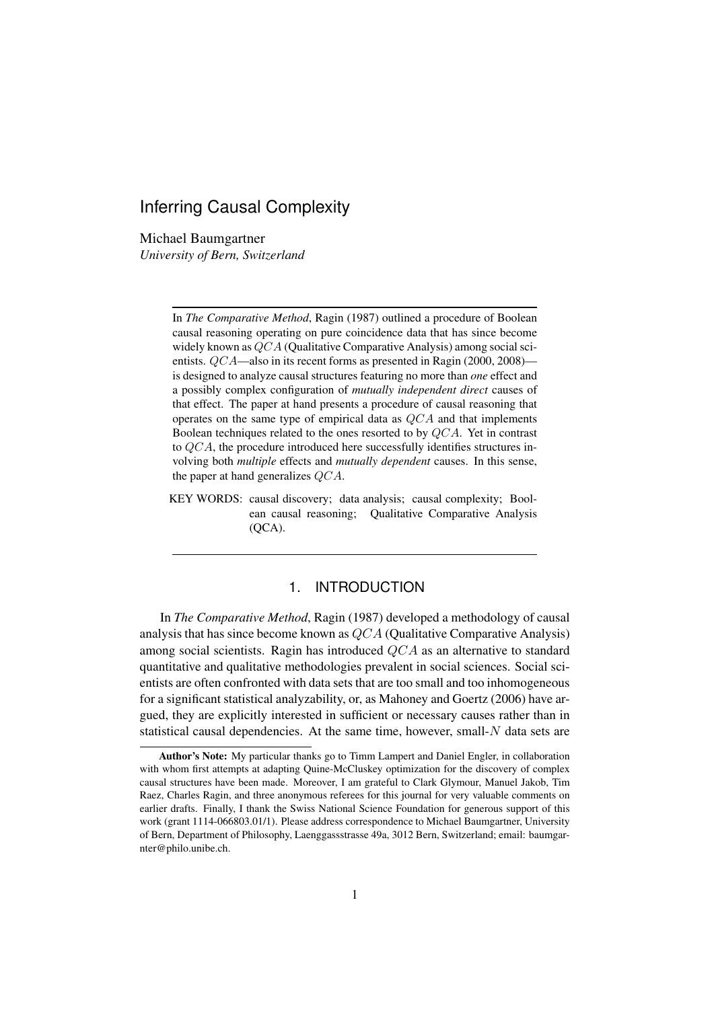# Inferring Causal Complexity

Michael Baumgartner *University of Bern, Switzerland*

> In *The Comparative Method*, Ragin (1987) outlined a procedure of Boolean causal reasoning operating on pure coincidence data that has since become widely known as QCA (Qualitative Comparative Analysis) among social scientists. QCA—also in its recent forms as presented in Ragin (2000, 2008) is designed to analyze causal structures featuring no more than *one* effect and a possibly complex configuration of *mutually independent direct* causes of that effect. The paper at hand presents a procedure of causal reasoning that operates on the same type of empirical data as QCA and that implements Boolean techniques related to the ones resorted to by QCA. Yet in contrast to QCA, the procedure introduced here successfully identifies structures involving both *multiple* effects and *mutually dependent* causes. In this sense, the paper at hand generalizes QCA.

> KEY WORDS: causal discovery; data analysis; causal complexity; Boolean causal reasoning; Qualitative Comparative Analysis (QCA).

# 1. INTRODUCTION

In *The Comparative Method*, Ragin (1987) developed a methodology of causal analysis that has since become known as QCA (Qualitative Comparative Analysis) among social scientists. Ragin has introduced QCA as an alternative to standard quantitative and qualitative methodologies prevalent in social sciences. Social scientists are often confronted with data sets that are too small and too inhomogeneous for a significant statistical analyzability, or, as Mahoney and Goertz (2006) have argued, they are explicitly interested in sufficient or necessary causes rather than in statistical causal dependencies. At the same time, however, small- $N$  data sets are

Author's Note: My particular thanks go to Timm Lampert and Daniel Engler, in collaboration with whom first attempts at adapting Quine-McCluskey optimization for the discovery of complex causal structures have been made. Moreover, I am grateful to Clark Glymour, Manuel Jakob, Tim Raez, Charles Ragin, and three anonymous referees for this journal for very valuable comments on earlier drafts. Finally, I thank the Swiss National Science Foundation for generous support of this work (grant 1114-066803.01/1). Please address correspondence to Michael Baumgartner, University of Bern, Department of Philosophy, Laenggassstrasse 49a, 3012 Bern, Switzerland; email: baumgarnter@philo.unibe.ch.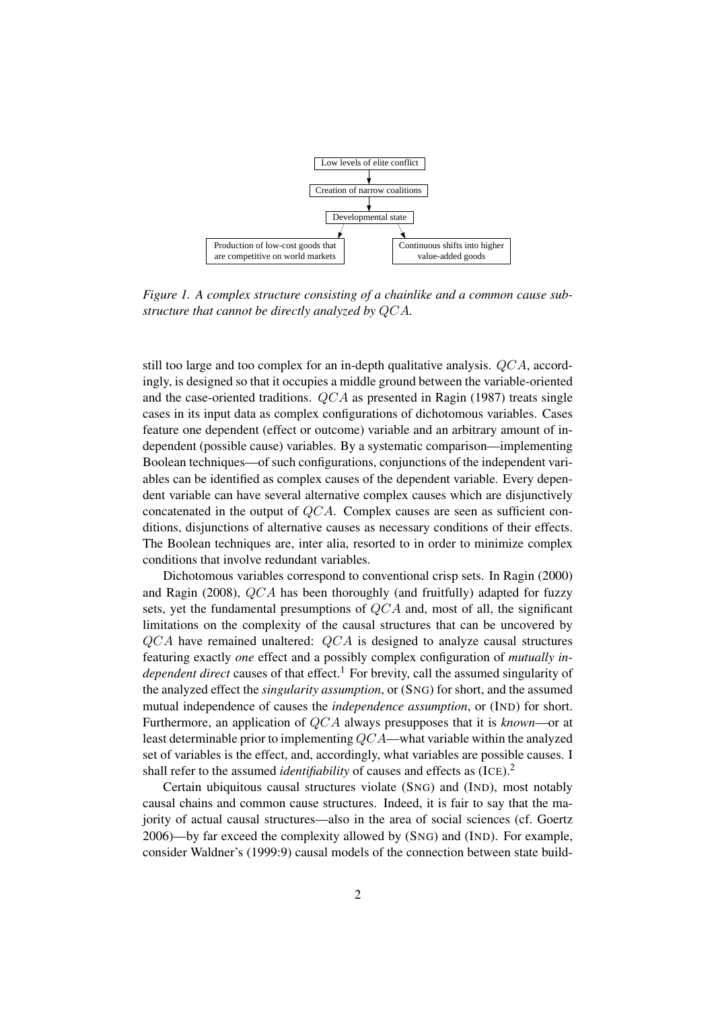

*Figure 1. A complex structure consisting of a chainlike and a common cause substructure that cannot be directly analyzed by* QCA*.*

still too large and too complex for an in-depth qualitative analysis.  $QCA$ , accordingly, is designed so that it occupies a middle ground between the variable-oriented and the case-oriented traditions.  $QCA$  as presented in Ragin (1987) treats single cases in its input data as complex configurations of dichotomous variables. Cases feature one dependent (effect or outcome) variable and an arbitrary amount of independent (possible cause) variables. By a systematic comparison—implementing Boolean techniques—of such configurations, conjunctions of the independent variables can be identified as complex causes of the dependent variable. Every dependent variable can have several alternative complex causes which are disjunctively concatenated in the output of  $QCA$ . Complex causes are seen as sufficient conditions, disjunctions of alternative causes as necessary conditions of their effects. The Boolean techniques are, inter alia, resorted to in order to minimize complex conditions that involve redundant variables.

Dichotomous variables correspond to conventional crisp sets. In Ragin (2000) and Ragin (2008), QCA has been thoroughly (and fruitfully) adapted for fuzzy sets, yet the fundamental presumptions of QCA and, most of all, the significant limitations on the complexity of the causal structures that can be uncovered by  $QCA$  have remained unaltered:  $QCA$  is designed to analyze causal structures featuring exactly *one* effect and a possibly complex configuration of *mutually independent direct* causes of that effect.<sup>1</sup> For brevity, call the assumed singularity of the analyzed effect the *singularity assumption*, or (SNG) for short, and the assumed mutual independence of causes the *independence assumption*, or (IND) for short. Furthermore, an application of QCA always presupposes that it is *known*—or at least determinable prior to implementing QCA—what variable within the analyzed set of variables is the effect, and, accordingly, what variables are possible causes. I shall refer to the assumed *identifiability* of causes and effects as (ICE).<sup>2</sup>

Certain ubiquitous causal structures violate (SNG) and (IND), most notably causal chains and common cause structures. Indeed, it is fair to say that the majority of actual causal structures—also in the area of social sciences (cf. Goertz 2006)—by far exceed the complexity allowed by (SNG) and (IND). For example, consider Waldner's (1999:9) causal models of the connection between state build-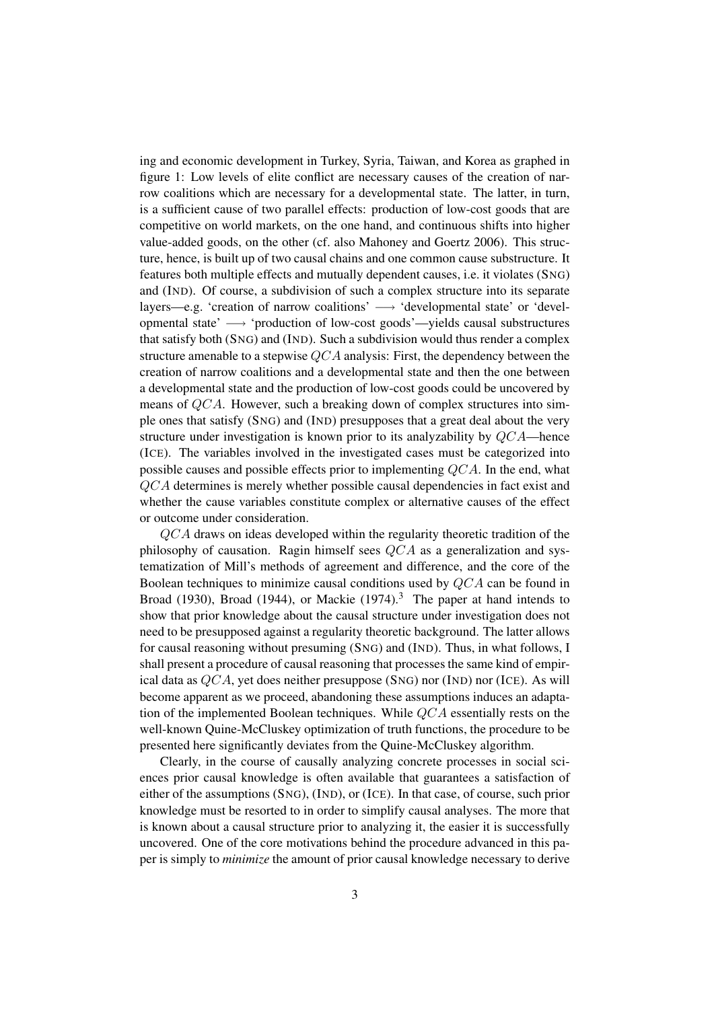ing and economic development in Turkey, Syria, Taiwan, and Korea as graphed in figure 1: Low levels of elite conflict are necessary causes of the creation of narrow coalitions which are necessary for a developmental state. The latter, in turn, is a sufficient cause of two parallel effects: production of low-cost goods that are competitive on world markets, on the one hand, and continuous shifts into higher value-added goods, on the other (cf. also Mahoney and Goertz 2006). This structure, hence, is built up of two causal chains and one common cause substructure. It features both multiple effects and mutually dependent causes, i.e. it violates (SNG) and (IND). Of course, a subdivision of such a complex structure into its separate layers—e.g. 'creation of narrow coalitions' → 'developmental state' or 'developmental state' −→ 'production of low-cost goods'—yields causal substructures that satisfy both (SNG) and (IND). Such a subdivision would thus render a complex structure amenable to a stepwise  $QCA$  analysis: First, the dependency between the creation of narrow coalitions and a developmental state and then the one between a developmental state and the production of low-cost goods could be uncovered by means of QCA. However, such a breaking down of complex structures into simple ones that satisfy (SNG) and (IND) presupposes that a great deal about the very structure under investigation is known prior to its analyzability by  $QCA$ —hence (ICE). The variables involved in the investigated cases must be categorized into possible causes and possible effects prior to implementing QCA. In the end, what QCA determines is merely whether possible causal dependencies in fact exist and whether the cause variables constitute complex or alternative causes of the effect or outcome under consideration.

QCA draws on ideas developed within the regularity theoretic tradition of the philosophy of causation. Ragin himself sees  $QCA$  as a generalization and systematization of Mill's methods of agreement and difference, and the core of the Boolean techniques to minimize causal conditions used by QCA can be found in Broad (1930), Broad (1944), or Mackie (1974).<sup>3</sup> The paper at hand intends to show that prior knowledge about the causal structure under investigation does not need to be presupposed against a regularity theoretic background. The latter allows for causal reasoning without presuming (SNG) and (IND). Thus, in what follows, I shall present a procedure of causal reasoning that processes the same kind of empirical data as  $QCA$ , yet does neither presuppose (SNG) nor (IND) nor (ICE). As will become apparent as we proceed, abandoning these assumptions induces an adaptation of the implemented Boolean techniques. While QCA essentially rests on the well-known Quine-McCluskey optimization of truth functions, the procedure to be presented here significantly deviates from the Quine-McCluskey algorithm.

Clearly, in the course of causally analyzing concrete processes in social sciences prior causal knowledge is often available that guarantees a satisfaction of either of the assumptions (SNG), (IND), or (ICE). In that case, of course, such prior knowledge must be resorted to in order to simplify causal analyses. The more that is known about a causal structure prior to analyzing it, the easier it is successfully uncovered. One of the core motivations behind the procedure advanced in this paper is simply to *minimize* the amount of prior causal knowledge necessary to derive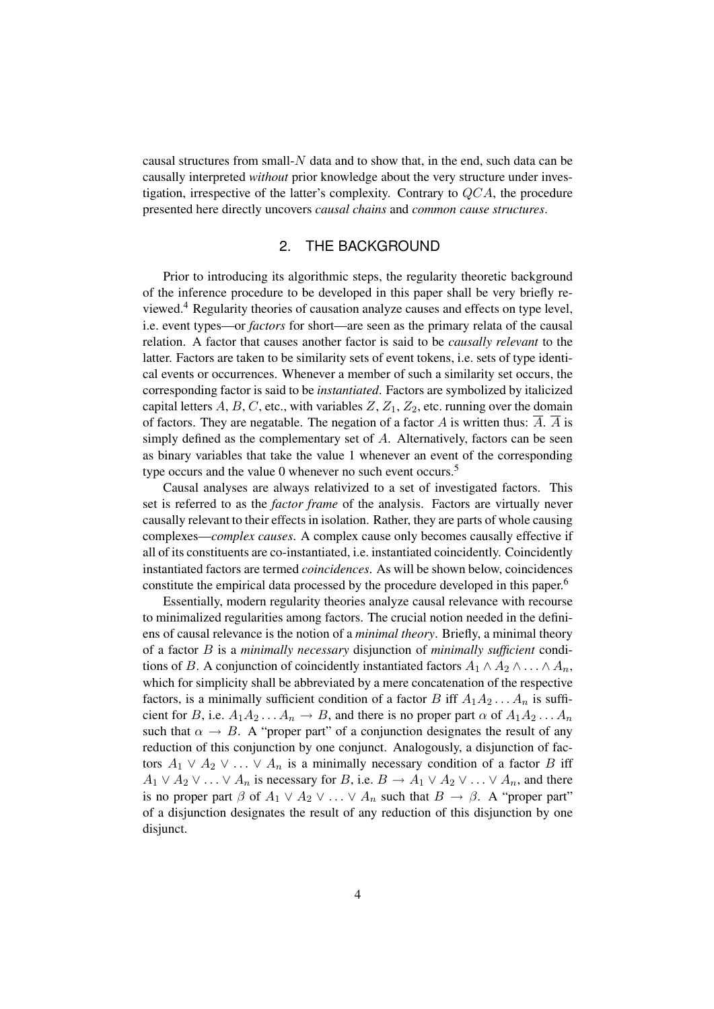causal structures from small-N data and to show that, in the end, such data can be causally interpreted *without* prior knowledge about the very structure under investigation, irrespective of the latter's complexity. Contrary to  $QCA$ , the procedure presented here directly uncovers *causal chains* and *common cause structures*.

### 2. THE BACKGROUND

Prior to introducing its algorithmic steps, the regularity theoretic background of the inference procedure to be developed in this paper shall be very briefly reviewed.<sup>4</sup> Regularity theories of causation analyze causes and effects on type level, i.e. event types—or *factors* for short—are seen as the primary relata of the causal relation. A factor that causes another factor is said to be *causally relevant* to the latter. Factors are taken to be similarity sets of event tokens, i.e. sets of type identical events or occurrences. Whenever a member of such a similarity set occurs, the corresponding factor is said to be *instantiated*. Factors are symbolized by italicized capital letters A, B, C, etc., with variables  $Z$ ,  $Z_1$ ,  $Z_2$ , etc. running over the domain of factors. They are negatable. The negation of a factor A is written thus:  $\overline{A}$ .  $\overline{A}$  is simply defined as the complementary set of  $A$ . Alternatively, factors can be seen as binary variables that take the value 1 whenever an event of the corresponding type occurs and the value 0 whenever no such event occurs.<sup>5</sup>

Causal analyses are always relativized to a set of investigated factors. This set is referred to as the *factor frame* of the analysis. Factors are virtually never causally relevant to their effects in isolation. Rather, they are parts of whole causing complexes—*complex causes*. A complex cause only becomes causally effective if all of its constituents are co-instantiated, i.e. instantiated coincidently. Coincidently instantiated factors are termed *coincidences*. As will be shown below, coincidences constitute the empirical data processed by the procedure developed in this paper.<sup>6</sup>

Essentially, modern regularity theories analyze causal relevance with recourse to minimalized regularities among factors. The crucial notion needed in the definiens of causal relevance is the notion of a *minimal theory*. Briefly, a minimal theory of a factor B is a *minimally necessary* disjunction of *minimally sufficient* conditions of B. A conjunction of coincidently instantiated factors  $A_1 \wedge A_2 \wedge \ldots \wedge A_n$ , which for simplicity shall be abbreviated by a mere concatenation of the respective factors, is a minimally sufficient condition of a factor B iff  $A_1A_2 \ldots A_n$  is sufficient for B, i.e.  $A_1A_2 \ldots A_n \to B$ , and there is no proper part  $\alpha$  of  $A_1A_2 \ldots A_n$ such that  $\alpha \to B$ . A "proper part" of a conjunction designates the result of any reduction of this conjunction by one conjunct. Analogously, a disjunction of factors  $A_1 \vee A_2 \vee \ldots \vee A_n$  is a minimally necessary condition of a factor B iff  $A_1 \vee A_2 \vee \ldots \vee A_n$  is necessary for B, i.e.  $B \to A_1 \vee A_2 \vee \ldots \vee A_n$ , and there is no proper part  $\beta$  of  $A_1 \vee A_2 \vee \ldots \vee A_n$  such that  $B \to \beta$ . A "proper part" of a disjunction designates the result of any reduction of this disjunction by one disjunct.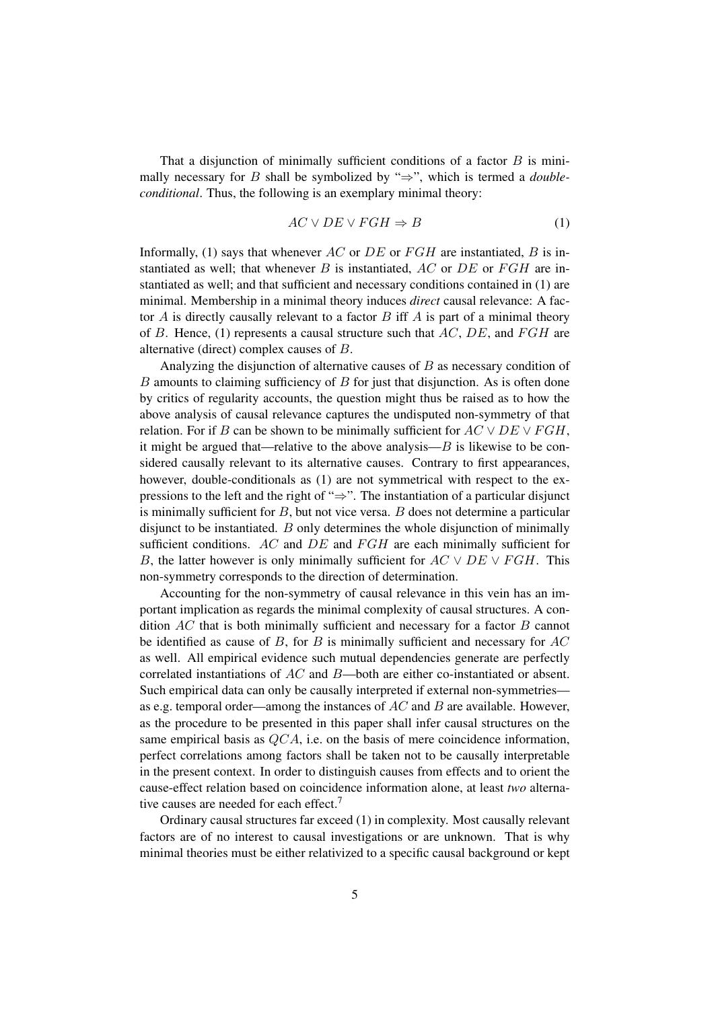That a disjunction of minimally sufficient conditions of a factor  $B$  is minimally necessary for B shall be symbolized by "⇒", which is termed a *doubleconditional*. Thus, the following is an exemplary minimal theory:

$$
AC \lor DE \lor FGH \Rightarrow B \tag{1}
$$

Informally, (1) says that whenever AC or DE or FGH are instantiated, B is instantiated as well; that whenever  $B$  is instantiated,  $AC$  or  $DE$  or  $FGH$  are instantiated as well; and that sufficient and necessary conditions contained in (1) are minimal. Membership in a minimal theory induces *direct* causal relevance: A factor  $A$  is directly causally relevant to a factor  $B$  iff  $A$  is part of a minimal theory of B. Hence, (1) represents a causal structure such that  $AC$ ,  $DE$ , and  $FGH$  are alternative (direct) complex causes of B.

Analyzing the disjunction of alternative causes of  $B$  as necessary condition of  $B$  amounts to claiming sufficiency of  $B$  for just that disjunction. As is often done by critics of regularity accounts, the question might thus be raised as to how the above analysis of causal relevance captures the undisputed non-symmetry of that relation. For if B can be shown to be minimally sufficient for  $AC \vee DE \vee FGH$ , it might be argued that—relative to the above analysis— $B$  is likewise to be considered causally relevant to its alternative causes. Contrary to first appearances, however, double-conditionals as (1) are not symmetrical with respect to the expressions to the left and the right of "⇒". The instantiation of a particular disjunct is minimally sufficient for  $B$ , but not vice versa.  $B$  does not determine a particular disjunct to be instantiated. B only determines the whole disjunction of minimally sufficient conditions. AC and  $DE$  and  $FGH$  are each minimally sufficient for B, the latter however is only minimally sufficient for  $AC \vee DE \vee FGH$ . This non-symmetry corresponds to the direction of determination.

Accounting for the non-symmetry of causal relevance in this vein has an important implication as regards the minimal complexity of causal structures. A condition  $AC$  that is both minimally sufficient and necessary for a factor  $B$  cannot be identified as cause of B, for B is minimally sufficient and necessary for  $AC$ as well. All empirical evidence such mutual dependencies generate are perfectly correlated instantiations of AC and B—both are either co-instantiated or absent. Such empirical data can only be causally interpreted if external non-symmetries as e.g. temporal order—among the instances of  $AC$  and  $B$  are available. However, as the procedure to be presented in this paper shall infer causal structures on the same empirical basis as  $QCA$ , i.e. on the basis of mere coincidence information, perfect correlations among factors shall be taken not to be causally interpretable in the present context. In order to distinguish causes from effects and to orient the cause-effect relation based on coincidence information alone, at least *two* alternative causes are needed for each effect.<sup>7</sup>

Ordinary causal structures far exceed (1) in complexity. Most causally relevant factors are of no interest to causal investigations or are unknown. That is why minimal theories must be either relativized to a specific causal background or kept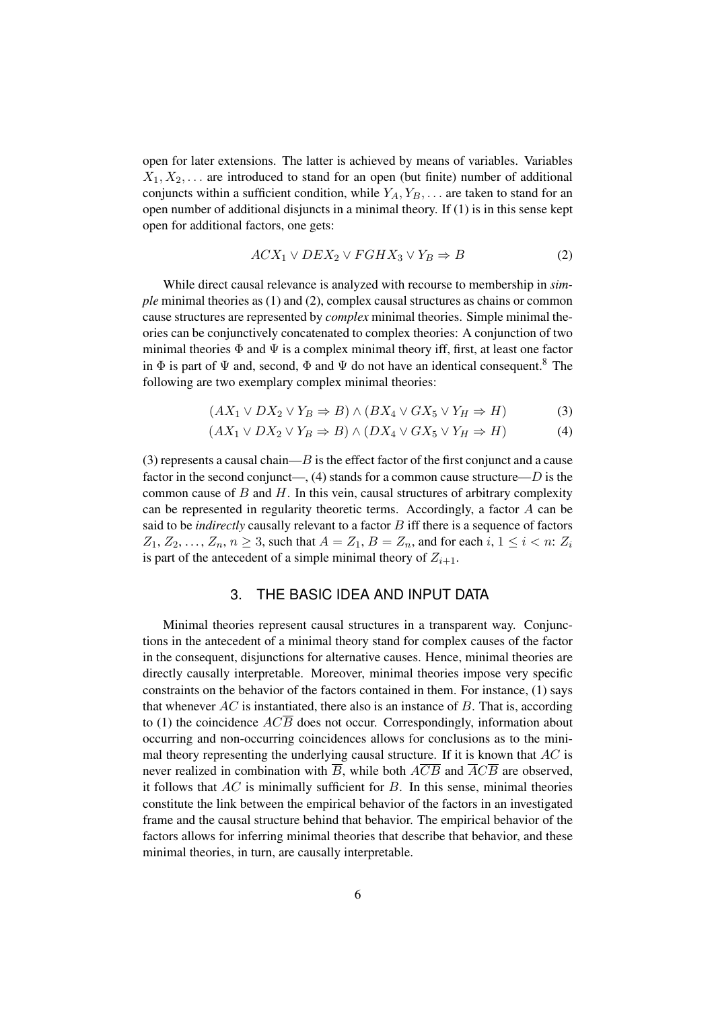open for later extensions. The latter is achieved by means of variables. Variables  $X_1, X_2, \ldots$  are introduced to stand for an open (but finite) number of additional conjuncts within a sufficient condition, while  $Y_A, Y_B, \ldots$  are taken to stand for an open number of additional disjuncts in a minimal theory. If (1) is in this sense kept open for additional factors, one gets:

$$
ACX_1 \vee DEX_2 \vee FGHX_3 \vee Y_B \Rightarrow B \tag{2}
$$

While direct causal relevance is analyzed with recourse to membership in *simple* minimal theories as (1) and (2), complex causal structures as chains or common cause structures are represented by *complex* minimal theories. Simple minimal theories can be conjunctively concatenated to complex theories: A conjunction of two minimal theories  $\Phi$  and  $\Psi$  is a complex minimal theory iff, first, at least one factor in  $\Phi$  is part of  $\Psi$  and, second,  $\Phi$  and  $\Psi$  do not have an identical consequent.<sup>8</sup> The following are two exemplary complex minimal theories:

$$
(AX_1 \lor DX_2 \lor Y_B \Rightarrow B) \land (BX_4 \lor GX_5 \lor Y_H \Rightarrow H) \tag{3}
$$

$$
(AX_1 \lor DX_2 \lor Y_B \Rightarrow B) \land (DX_4 \lor GX_5 \lor Y_H \Rightarrow H) \tag{4}
$$

(3) represents a causal chain— $B$  is the effect factor of the first conjunct and a cause factor in the second conjunct—, (4) stands for a common cause structure— $D$  is the common cause of  $B$  and  $H$ . In this vein, causal structures of arbitrary complexity can be represented in regularity theoretic terms. Accordingly, a factor  $A$  can be said to be *indirectly* causally relevant to a factor B iff there is a sequence of factors  $Z_1, Z_2, \ldots, Z_n, n \geq 3$ , such that  $A = Z_1, B = Z_n$ , and for each  $i, 1 \leq i < n: Z_i$ is part of the antecedent of a simple minimal theory of  $Z_{i+1}$ .

#### 3. THE BASIC IDEA AND INPUT DATA

Minimal theories represent causal structures in a transparent way. Conjunctions in the antecedent of a minimal theory stand for complex causes of the factor in the consequent, disjunctions for alternative causes. Hence, minimal theories are directly causally interpretable. Moreover, minimal theories impose very specific constraints on the behavior of the factors contained in them. For instance, (1) says that whenever  $AC$  is instantiated, there also is an instance of  $B$ . That is, according to (1) the coincidence  $ACB$  does not occur. Correspondingly, information about occurring and non-occurring coincidences allows for conclusions as to the minimal theory representing the underlying causal structure. If it is known that  $AC$  is never realized in combination with  $\overline{B}$ , while both  $\overline{ACB}$  and  $\overline{ACB}$  are observed, it follows that  $AC$  is minimally sufficient for  $B$ . In this sense, minimal theories constitute the link between the empirical behavior of the factors in an investigated frame and the causal structure behind that behavior. The empirical behavior of the factors allows for inferring minimal theories that describe that behavior, and these minimal theories, in turn, are causally interpretable.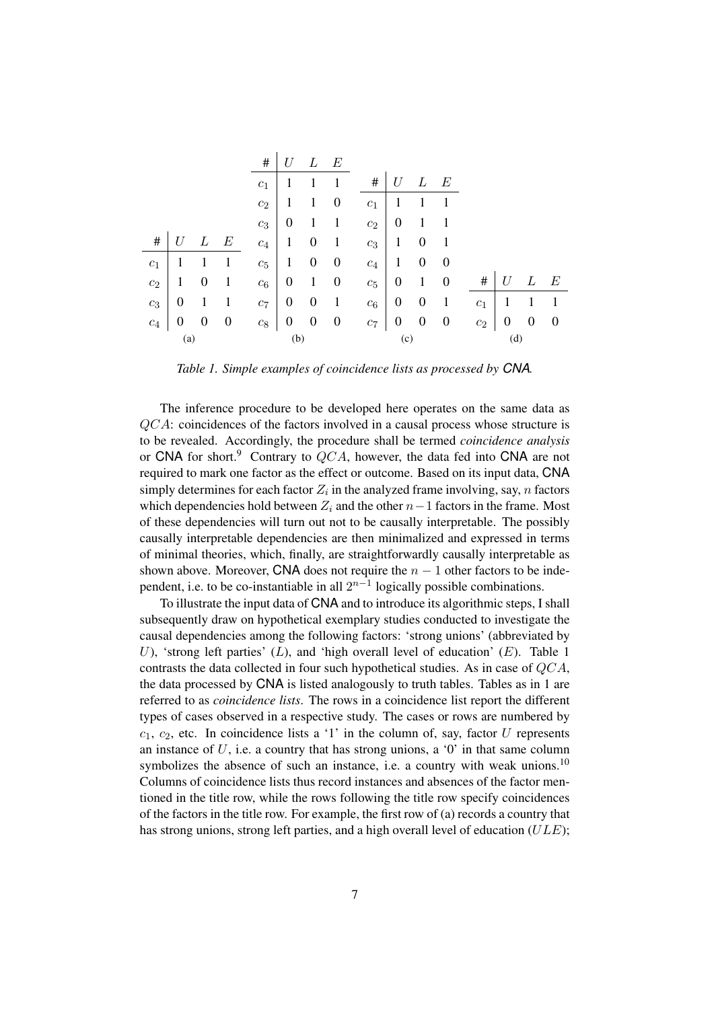|                    |                  |                  |          | $\#$             | U                |                  | E                |                  |                  |          |                  |                  |          |          |          |
|--------------------|------------------|------------------|----------|------------------|------------------|------------------|------------------|------------------|------------------|----------|------------------|------------------|----------|----------|----------|
|                    |                  |                  |          | c <sub>1</sub>   | 1                |                  |                  | #                | U                | L        | $\,E$            |                  |          |          |          |
|                    |                  |                  |          | $c_2$            | 1                | 1                | $\boldsymbol{0}$ | $c_1$            |                  |          |                  |                  |          |          |          |
|                    |                  |                  |          | $c_3$            | $\boldsymbol{0}$ |                  | 1                | $c_2$            | $\boldsymbol{0}$ | 1        |                  |                  |          |          |          |
| #                  | U                |                  | E        | $\mathfrak{c}_4$ | 1                | 0                | 1                | $c_3$            | $\mathbf{1}$     | $\theta$ | 1                |                  |          |          |          |
| $\boldsymbol{c}_1$ | 1                |                  | 1        | $c_5$            | $\mathbf{1}$     | $\boldsymbol{0}$ | $\boldsymbol{0}$ | $\mathfrak{c}_4$ | $\mathbf{1}$     | $\theta$ | $\theta$         |                  |          |          |          |
| $c_2$              | 1                | $\boldsymbol{0}$ | 1        | $c_6$            | $\boldsymbol{0}$ | 1                | $\boldsymbol{0}$ | $c_5$            | $\boldsymbol{0}$ | 1        | $\boldsymbol{0}$ | #                | U        | L        | E        |
| $\mathfrak{c}_3$   | $\boldsymbol{0}$ | 1                | 1        | $c_7$            | $\boldsymbol{0}$ | $\theta$         | 1                | $c_6$            | $\boldsymbol{0}$ | $\theta$ | 1                | $\mathfrak{c}_1$ | 1        |          | 1        |
| $\mathfrak{c}_4$   | $\boldsymbol{0}$ | $\boldsymbol{0}$ | $\theta$ | $c_{\rm 8}$      | $\boldsymbol{0}$ | $\boldsymbol{0}$ | $\theta$         | $c_7\,$          | $\boldsymbol{0}$ | $\theta$ | $\boldsymbol{0}$ | $\mathfrak{c}_2$ | $\theta$ | $\theta$ | $\theta$ |
| (a)                |                  |                  |          | (b)              |                  |                  |                  | (c)              |                  |          |                  | (d)              |          |          |          |

*Table 1. Simple examples of coincidence lists as processed by CNA.*

The inference procedure to be developed here operates on the same data as QCA: coincidences of the factors involved in a causal process whose structure is to be revealed. Accordingly, the procedure shall be termed *coincidence analysis* or CNA for short.<sup>9</sup> Contrary to  $QCA$ , however, the data fed into CNA are not required to mark one factor as the effect or outcome. Based on its input data, CNA simply determines for each factor  $Z_i$  in the analyzed frame involving, say, n factors which dependencies hold between  $Z_i$  and the other  $n-1$  factors in the frame. Most of these dependencies will turn out not to be causally interpretable. The possibly causally interpretable dependencies are then minimalized and expressed in terms of minimal theories, which, finally, are straightforwardly causally interpretable as shown above. Moreover, CNA does not require the  $n - 1$  other factors to be independent, i.e. to be co-instantiable in all  $2^{n-1}$  logically possible combinations.

To illustrate the input data of CNA and to introduce its algorithmic steps, I shall subsequently draw on hypothetical exemplary studies conducted to investigate the causal dependencies among the following factors: 'strong unions' (abbreviated by U), 'strong left parties'  $(L)$ , and 'high overall level of education'  $(E)$ . Table 1 contrasts the data collected in four such hypothetical studies. As in case of QCA, the data processed by CNA is listed analogously to truth tables. Tables as in 1 are referred to as *coincidence lists*. The rows in a coincidence list report the different types of cases observed in a respective study. The cases or rows are numbered by  $c_1$ ,  $c_2$ , etc. In coincidence lists a '1' in the column of, say, factor U represents an instance of  $U$ , i.e. a country that has strong unions, a '0' in that same column symbolizes the absence of such an instance, i.e. a country with weak unions.<sup>10</sup> Columns of coincidence lists thus record instances and absences of the factor mentioned in the title row, while the rows following the title row specify coincidences of the factors in the title row. For example, the first row of (a) records a country that has strong unions, strong left parties, and a high overall level of education  $(ULE)$ ;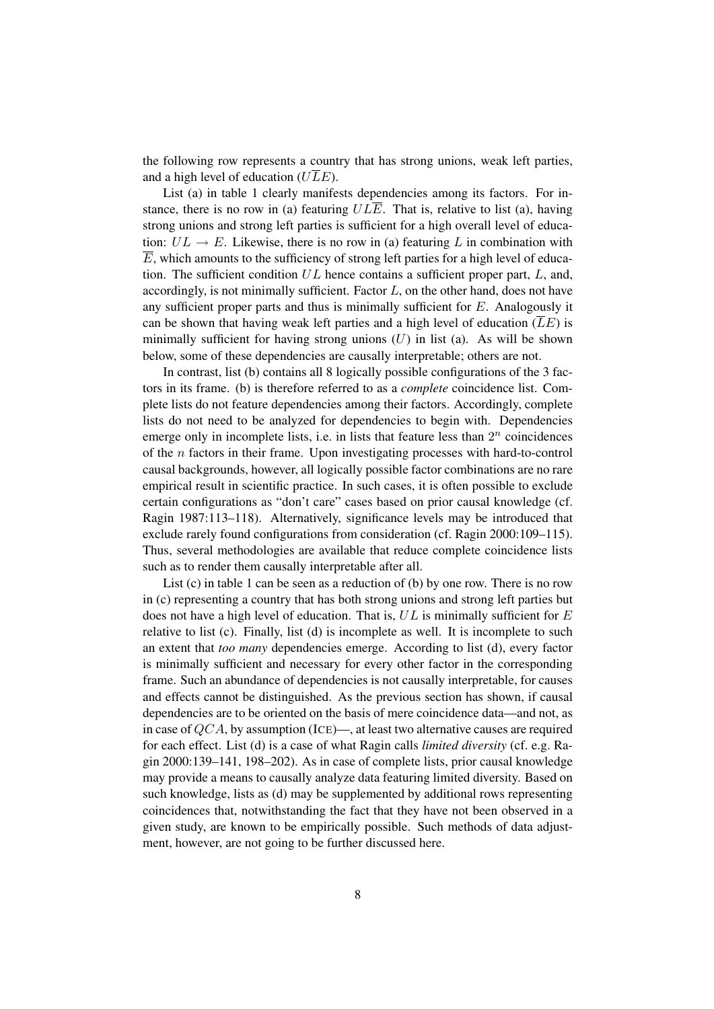the following row represents a country that has strong unions, weak left parties, and a high level of education ( $U\overline{L}E$ ).

List (a) in table 1 clearly manifests dependencies among its factors. For instance, there is no row in (a) featuring  $UL\overline{E}$ . That is, relative to list (a), having strong unions and strong left parties is sufficient for a high overall level of education:  $UL \rightarrow E$ . Likewise, there is no row in (a) featuring L in combination with  $\overline{E}$ , which amounts to the sufficiency of strong left parties for a high level of education. The sufficient condition  $UL$  hence contains a sufficient proper part,  $L$ , and, accordingly, is not minimally sufficient. Factor  $L$ , on the other hand, does not have any sufficient proper parts and thus is minimally sufficient for  $E$ . Analogously it can be shown that having weak left parties and a high level of education  $(\overline{L}E)$  is minimally sufficient for having strong unions  $(U)$  in list (a). As will be shown below, some of these dependencies are causally interpretable; others are not.

In contrast, list (b) contains all 8 logically possible configurations of the 3 factors in its frame. (b) is therefore referred to as a *complete* coincidence list. Complete lists do not feature dependencies among their factors. Accordingly, complete lists do not need to be analyzed for dependencies to begin with. Dependencies emerge only in incomplete lists, i.e. in lists that feature less than  $2^n$  coincidences of the  $n$  factors in their frame. Upon investigating processes with hard-to-control causal backgrounds, however, all logically possible factor combinations are no rare empirical result in scientific practice. In such cases, it is often possible to exclude certain configurations as "don't care" cases based on prior causal knowledge (cf. Ragin 1987:113–118). Alternatively, significance levels may be introduced that exclude rarely found configurations from consideration (cf. Ragin 2000:109–115). Thus, several methodologies are available that reduce complete coincidence lists such as to render them causally interpretable after all.

List (c) in table 1 can be seen as a reduction of (b) by one row. There is no row in (c) representing a country that has both strong unions and strong left parties but does not have a high level of education. That is,  $UL$  is minimally sufficient for  $E$ relative to list (c). Finally, list (d) is incomplete as well. It is incomplete to such an extent that *too many* dependencies emerge. According to list (d), every factor is minimally sufficient and necessary for every other factor in the corresponding frame. Such an abundance of dependencies is not causally interpretable, for causes and effects cannot be distinguished. As the previous section has shown, if causal dependencies are to be oriented on the basis of mere coincidence data—and not, as in case of  $OCA$ , by assumption (ICE)—, at least two alternative causes are required for each effect. List (d) is a case of what Ragin calls *limited diversity* (cf. e.g. Ragin 2000:139–141, 198–202). As in case of complete lists, prior causal knowledge may provide a means to causally analyze data featuring limited diversity. Based on such knowledge, lists as (d) may be supplemented by additional rows representing coincidences that, notwithstanding the fact that they have not been observed in a given study, are known to be empirically possible. Such methods of data adjustment, however, are not going to be further discussed here.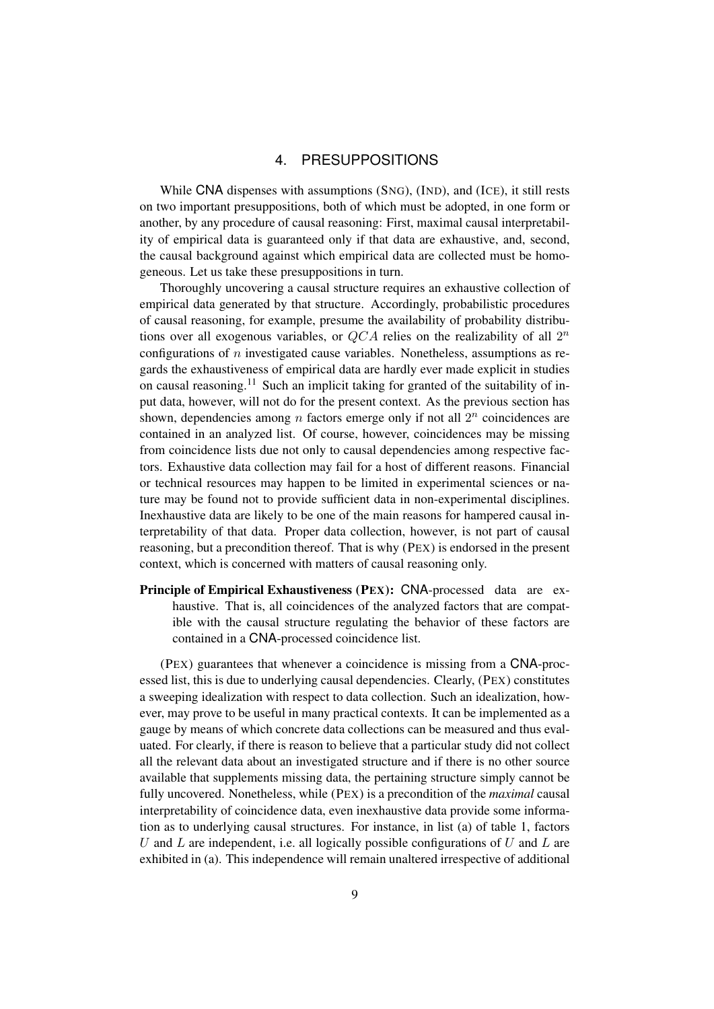### 4. PRESUPPOSITIONS

While CNA dispenses with assumptions (SNG), (IND), and (ICE), it still rests on two important presuppositions, both of which must be adopted, in one form or another, by any procedure of causal reasoning: First, maximal causal interpretability of empirical data is guaranteed only if that data are exhaustive, and, second, the causal background against which empirical data are collected must be homogeneous. Let us take these presuppositions in turn.

Thoroughly uncovering a causal structure requires an exhaustive collection of empirical data generated by that structure. Accordingly, probabilistic procedures of causal reasoning, for example, presume the availability of probability distributions over all exogenous variables, or  $QCA$  relies on the realizability of all  $2<sup>n</sup>$ configurations of n investigated cause variables. Nonetheless, assumptions as regards the exhaustiveness of empirical data are hardly ever made explicit in studies on causal reasoning.<sup>11</sup> Such an implicit taking for granted of the suitability of input data, however, will not do for the present context. As the previous section has shown, dependencies among  $n$  factors emerge only if not all  $2^n$  coincidences are contained in an analyzed list. Of course, however, coincidences may be missing from coincidence lists due not only to causal dependencies among respective factors. Exhaustive data collection may fail for a host of different reasons. Financial or technical resources may happen to be limited in experimental sciences or nature may be found not to provide sufficient data in non-experimental disciplines. Inexhaustive data are likely to be one of the main reasons for hampered causal interpretability of that data. Proper data collection, however, is not part of causal reasoning, but a precondition thereof. That is why (PEX) is endorsed in the present context, which is concerned with matters of causal reasoning only.

Principle of Empirical Exhaustiveness (PEX): CNA-processed data are exhaustive. That is, all coincidences of the analyzed factors that are compatible with the causal structure regulating the behavior of these factors are contained in a CNA-processed coincidence list.

(PEX) guarantees that whenever a coincidence is missing from a CNA-processed list, this is due to underlying causal dependencies. Clearly, (PEX) constitutes a sweeping idealization with respect to data collection. Such an idealization, however, may prove to be useful in many practical contexts. It can be implemented as a gauge by means of which concrete data collections can be measured and thus evaluated. For clearly, if there is reason to believe that a particular study did not collect all the relevant data about an investigated structure and if there is no other source available that supplements missing data, the pertaining structure simply cannot be fully uncovered. Nonetheless, while (PEX) is a precondition of the *maximal* causal interpretability of coincidence data, even inexhaustive data provide some information as to underlying causal structures. For instance, in list (a) of table 1, factors U and L are independent, i.e. all logically possible configurations of U and L are exhibited in (a). This independence will remain unaltered irrespective of additional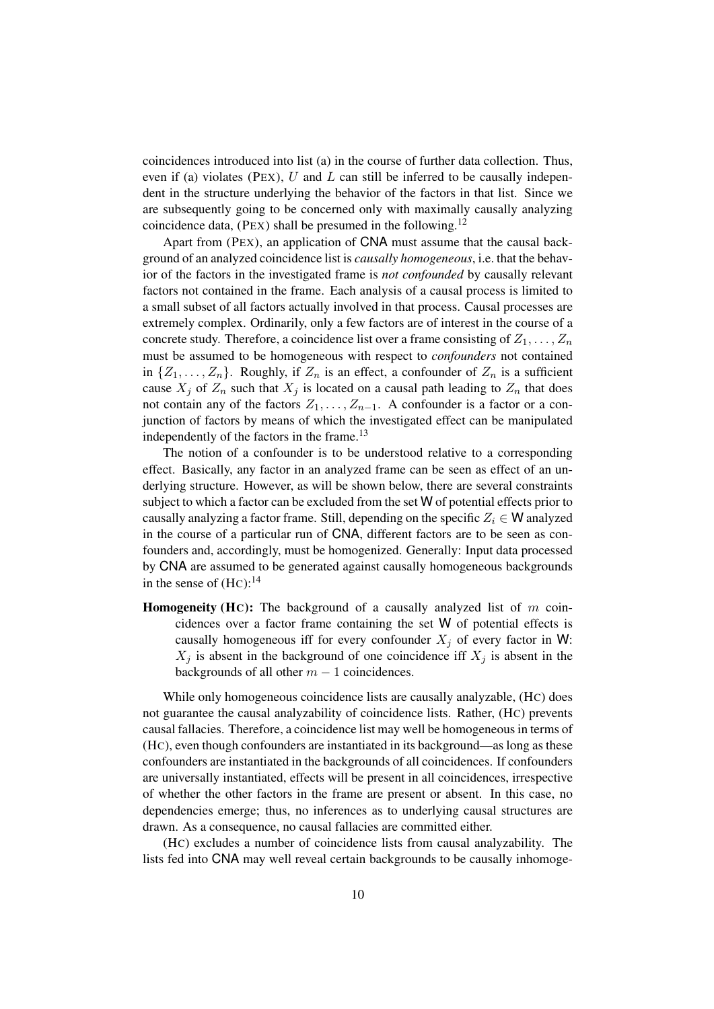coincidences introduced into list (a) in the course of further data collection. Thus, even if (a) violates (PEX),  $U$  and  $L$  can still be inferred to be causally independent in the structure underlying the behavior of the factors in that list. Since we are subsequently going to be concerned only with maximally causally analyzing coincidence data, (PEX) shall be presumed in the following.<sup>12</sup>

Apart from (PEX), an application of CNA must assume that the causal background of an analyzed coincidence list is *causally homogeneous*, i.e. that the behavior of the factors in the investigated frame is *not confounded* by causally relevant factors not contained in the frame. Each analysis of a causal process is limited to a small subset of all factors actually involved in that process. Causal processes are extremely complex. Ordinarily, only a few factors are of interest in the course of a concrete study. Therefore, a coincidence list over a frame consisting of  $Z_1, \ldots, Z_n$ must be assumed to be homogeneous with respect to *confounders* not contained in  $\{Z_1, \ldots, Z_n\}$ . Roughly, if  $Z_n$  is an effect, a confounder of  $Z_n$  is a sufficient cause  $X_j$  of  $Z_n$  such that  $X_j$  is located on a causal path leading to  $Z_n$  that does not contain any of the factors  $Z_1, \ldots, Z_{n-1}$ . A confounder is a factor or a conjunction of factors by means of which the investigated effect can be manipulated independently of the factors in the frame.<sup>13</sup>

The notion of a confounder is to be understood relative to a corresponding effect. Basically, any factor in an analyzed frame can be seen as effect of an underlying structure. However, as will be shown below, there are several constraints subject to which a factor can be excluded from the set W of potential effects prior to causally analyzing a factor frame. Still, depending on the specific  $Z_i \in W$  analyzed in the course of a particular run of CNA, different factors are to be seen as confounders and, accordingly, must be homogenized. Generally: Input data processed by CNA are assumed to be generated against causally homogeneous backgrounds in the sense of  $(HC)$ :<sup>14</sup>

**Homogeneity (HC):** The background of a causally analyzed list of  $m$  coincidences over a factor frame containing the set W of potential effects is causally homogeneous iff for every confounder  $X_i$  of every factor in W:  $X_j$  is absent in the background of one coincidence iff  $X_j$  is absent in the backgrounds of all other  $m - 1$  coincidences.

While only homogeneous coincidence lists are causally analyzable, (HC) does not guarantee the causal analyzability of coincidence lists. Rather, (HC) prevents causal fallacies. Therefore, a coincidence list may well be homogeneous in terms of (HC), even though confounders are instantiated in its background—as long as these confounders are instantiated in the backgrounds of all coincidences. If confounders are universally instantiated, effects will be present in all coincidences, irrespective of whether the other factors in the frame are present or absent. In this case, no dependencies emerge; thus, no inferences as to underlying causal structures are drawn. As a consequence, no causal fallacies are committed either.

(HC) excludes a number of coincidence lists from causal analyzability. The lists fed into CNA may well reveal certain backgrounds to be causally inhomoge-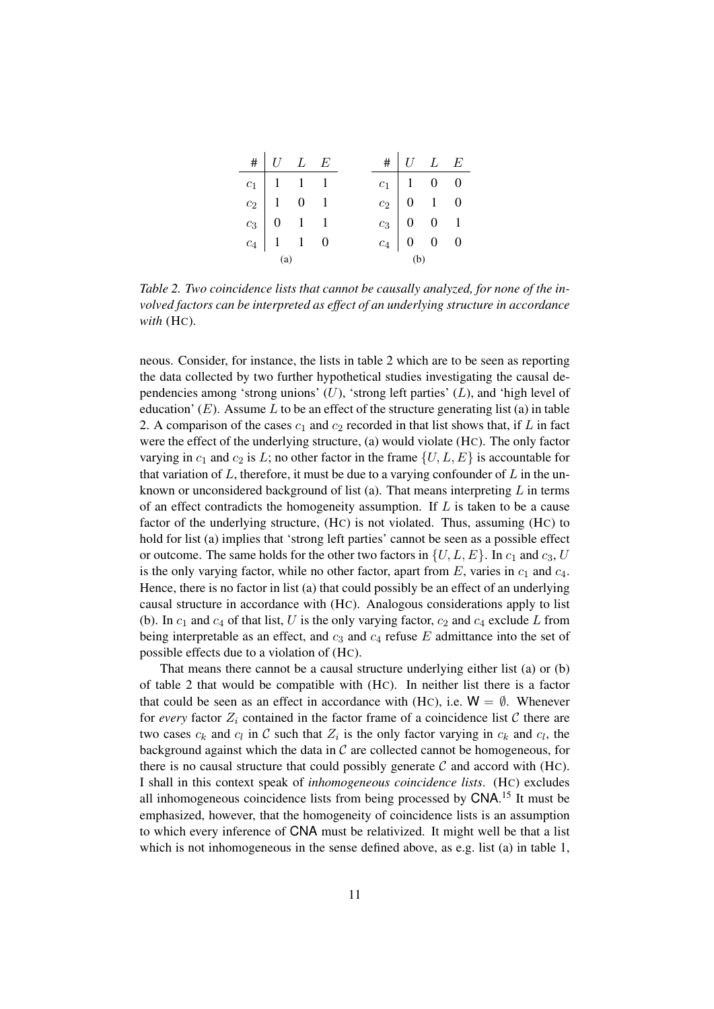| $\# U L E$                                                                                                                                                           |  |     | $\# U L E$                                                                                                                                          |  |  |  |
|----------------------------------------------------------------------------------------------------------------------------------------------------------------------|--|-----|-----------------------------------------------------------------------------------------------------------------------------------------------------|--|--|--|
| $\begin{tabular}{ c c c c } \hline $c_1$ & $1$ & $1$ & $1$ \\ $c_2$ & $1$ & $0$ & $1$ \\ $c_3$ & $0$ & $1$ & $1$ \\ $c_4$ & $1$ & $1$ & $0$ \\ \hline \end{tabular}$ |  |     | $\begin{tabular}{c cccc} $c_1$ & $1$ & $0$ & $0$ \\ $c_2$ & $0$ & $1$ & $0$ \\ $c_3$ & $0$ & $0$ & $1$ \\ $c_4$ & $0$ & $0$ & $0$ \\ \end{tabular}$ |  |  |  |
|                                                                                                                                                                      |  |     |                                                                                                                                                     |  |  |  |
|                                                                                                                                                                      |  |     |                                                                                                                                                     |  |  |  |
|                                                                                                                                                                      |  |     |                                                                                                                                                     |  |  |  |
| (a)                                                                                                                                                                  |  | (b) |                                                                                                                                                     |  |  |  |

*Table 2. Two coincidence lists that cannot be causally analyzed, for none of the involved factors can be interpreted as effect of an underlying structure in accordance with* (HC)*.*

neous. Consider, for instance, the lists in table 2 which are to be seen as reporting the data collected by two further hypothetical studies investigating the causal dependencies among 'strong unions'  $(U)$ , 'strong left parties'  $(L)$ , and 'high level of education'  $(E)$ . Assume L to be an effect of the structure generating list (a) in table 2. A comparison of the cases  $c_1$  and  $c_2$  recorded in that list shows that, if L in fact were the effect of the underlying structure, (a) would violate (HC). The only factor varying in  $c_1$  and  $c_2$  is L; no other factor in the frame  $\{U, L, E\}$  is accountable for that variation of  $L$ , therefore, it must be due to a varying confounder of  $L$  in the unknown or unconsidered background of list (a). That means interpreting  $L$  in terms of an effect contradicts the homogeneity assumption. If  $L$  is taken to be a cause factor of the underlying structure, (HC) is not violated. Thus, assuming (HC) to hold for list (a) implies that 'strong left parties' cannot be seen as a possible effect or outcome. The same holds for the other two factors in  $\{U, L, E\}$ . In  $c_1$  and  $c_3$ , U is the only varying factor, while no other factor, apart from  $E$ , varies in  $c_1$  and  $c_4$ . Hence, there is no factor in list (a) that could possibly be an effect of an underlying causal structure in accordance with (HC). Analogous considerations apply to list (b). In  $c_1$  and  $c_4$  of that list, U is the only varying factor,  $c_2$  and  $c_4$  exclude L from being interpretable as an effect, and  $c_3$  and  $c_4$  refuse E admittance into the set of possible effects due to a violation of (HC).

That means there cannot be a causal structure underlying either list (a) or (b) of table 2 that would be compatible with (HC). In neither list there is a factor that could be seen as an effect in accordance with (HC), i.e.  $W = \emptyset$ . Whenever for *every* factor  $Z_i$  contained in the factor frame of a coincidence list  $C$  there are two cases  $c_k$  and  $c_l$  in C such that  $Z_i$  is the only factor varying in  $c_k$  and  $c_l$ , the background against which the data in  $\mathcal C$  are collected cannot be homogeneous, for there is no causal structure that could possibly generate  $C$  and accord with (HC). I shall in this context speak of *inhomogeneous coincidence lists*. (HC) excludes all inhomogeneous coincidence lists from being processed by CNA.<sup>15</sup> It must be emphasized, however, that the homogeneity of coincidence lists is an assumption to which every inference of CNA must be relativized. It might well be that a list which is not inhomogeneous in the sense defined above, as e.g. list (a) in table 1,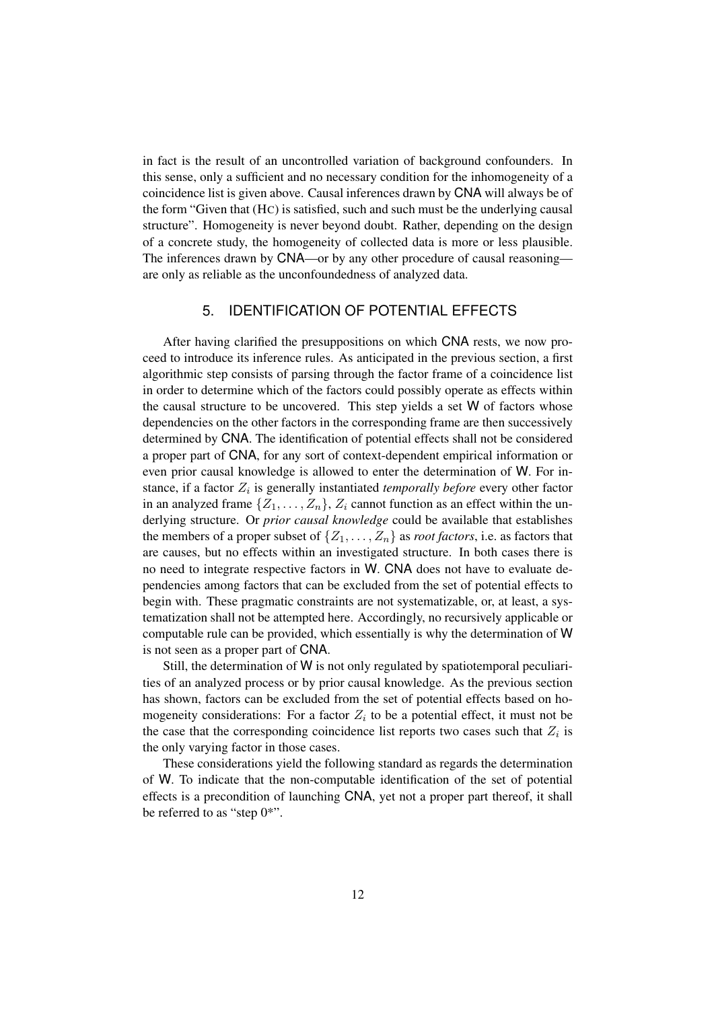in fact is the result of an uncontrolled variation of background confounders. In this sense, only a sufficient and no necessary condition for the inhomogeneity of a coincidence list is given above. Causal inferences drawn by CNA will always be of the form "Given that (HC) is satisfied, such and such must be the underlying causal structure". Homogeneity is never beyond doubt. Rather, depending on the design of a concrete study, the homogeneity of collected data is more or less plausible. The inferences drawn by CNA—or by any other procedure of causal reasoning are only as reliable as the unconfoundedness of analyzed data.

## 5. IDENTIFICATION OF POTENTIAL EFFECTS

After having clarified the presuppositions on which CNA rests, we now proceed to introduce its inference rules. As anticipated in the previous section, a first algorithmic step consists of parsing through the factor frame of a coincidence list in order to determine which of the factors could possibly operate as effects within the causal structure to be uncovered. This step yields a set W of factors whose dependencies on the other factors in the corresponding frame are then successively determined by CNA. The identification of potential effects shall not be considered a proper part of CNA, for any sort of context-dependent empirical information or even prior causal knowledge is allowed to enter the determination of W. For instance, if a factor  $Z_i$  is generally instantiated *temporally before* every other factor in an analyzed frame  $\{Z_1, \ldots, Z_n\}$ ,  $Z_i$  cannot function as an effect within the underlying structure. Or *prior causal knowledge* could be available that establishes the members of a proper subset of  $\{Z_1, \ldots, Z_n\}$  as *root factors*, i.e. as factors that are causes, but no effects within an investigated structure. In both cases there is no need to integrate respective factors in W. CNA does not have to evaluate dependencies among factors that can be excluded from the set of potential effects to begin with. These pragmatic constraints are not systematizable, or, at least, a systematization shall not be attempted here. Accordingly, no recursively applicable or computable rule can be provided, which essentially is why the determination of W is not seen as a proper part of CNA.

Still, the determination of W is not only regulated by spatiotemporal peculiarities of an analyzed process or by prior causal knowledge. As the previous section has shown, factors can be excluded from the set of potential effects based on homogeneity considerations: For a factor  $Z_i$  to be a potential effect, it must not be the case that the corresponding coincidence list reports two cases such that  $Z_i$  is the only varying factor in those cases.

These considerations yield the following standard as regards the determination of W. To indicate that the non-computable identification of the set of potential effects is a precondition of launching CNA, yet not a proper part thereof, it shall be referred to as "step  $0^*$ ".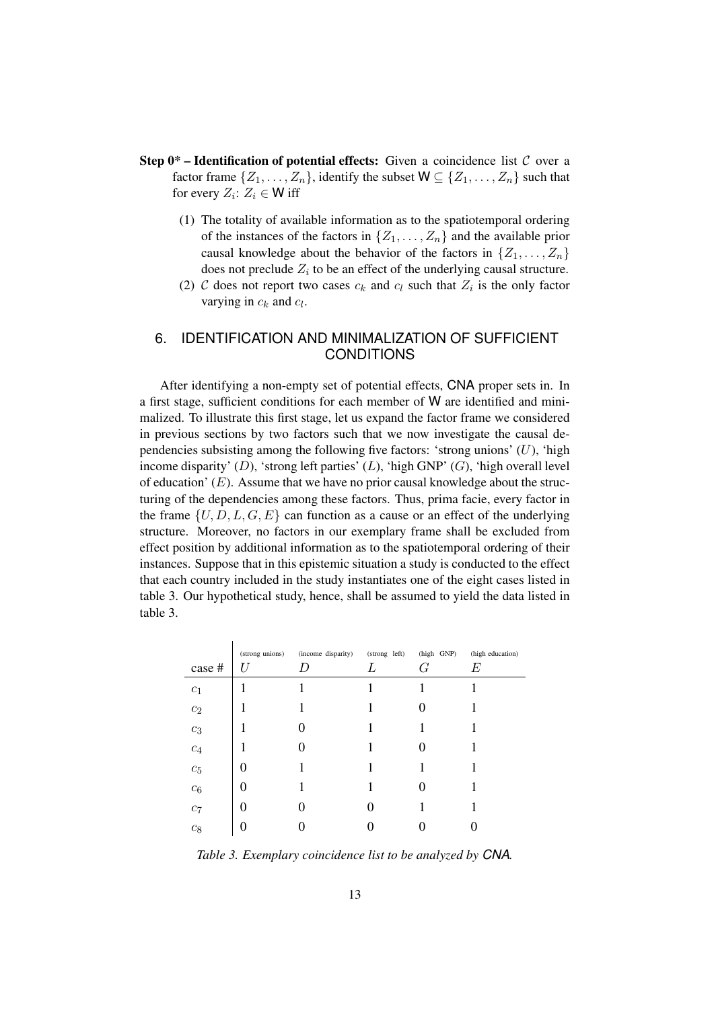- **Step 0<sup>\*</sup> Identification of potential effects:** Given a coincidence list  $C$  over a factor frame  $\{Z_1, \ldots, Z_n\}$ , identify the subset  $W \subseteq \{Z_1, \ldots, Z_n\}$  such that for every  $Z_i$ :  $Z_i \in W$  iff
	- (1) The totality of available information as to the spatiotemporal ordering of the instances of the factors in  $\{Z_1, \ldots, Z_n\}$  and the available prior causal knowledge about the behavior of the factors in  $\{Z_1, \ldots, Z_n\}$ does not preclude  $Z_i$  to be an effect of the underlying causal structure.
	- (2) C does not report two cases  $c_k$  and  $c_l$  such that  $Z_i$  is the only factor varying in  $c_k$  and  $c_l$ .

## 6. IDENTIFICATION AND MINIMALIZATION OF SUFFICIENT CONDITIONS

After identifying a non-empty set of potential effects, CNA proper sets in. In a first stage, sufficient conditions for each member of W are identified and minimalized. To illustrate this first stage, let us expand the factor frame we considered in previous sections by two factors such that we now investigate the causal dependencies subsisting among the following five factors: 'strong unions'  $(U)$ , 'high income disparity'  $(D)$ , 'strong left parties'  $(L)$ , 'high GNP'  $(G)$ , 'high overall level of education'  $(E)$ . Assume that we have no prior causal knowledge about the structuring of the dependencies among these factors. Thus, prima facie, every factor in the frame  $\{U, D, L, G, E\}$  can function as a cause or an effect of the underlying structure. Moreover, no factors in our exemplary frame shall be excluded from effect position by additional information as to the spatiotemporal ordering of their instances. Suppose that in this epistemic situation a study is conducted to the effect that each country included in the study instantiates one of the eight cases listed in table 3. Our hypothetical study, hence, shall be assumed to yield the data listed in table 3.

|                  | (strong unions) | (income disparity) | (strong left) | (high GNP) | (high education) |
|------------------|-----------------|--------------------|---------------|------------|------------------|
| case #           |                 |                    | L             | G          | E                |
| $c_1$            |                 |                    |               |            |                  |
| $c_2$            |                 |                    |               |            |                  |
| $\mathfrak{c}_3$ |                 |                    |               |            |                  |
| $\mathfrak{c}_4$ |                 |                    |               |            |                  |
| $\mathfrak{C}_5$ | 0               |                    |               |            |                  |
| $\mathfrak{C}_6$ | 0               |                    |               |            |                  |
| $c_7$            | 0               |                    | 0             |            |                  |
| $c_8$            | 0               |                    |               |            |                  |

*Table 3. Exemplary coincidence list to be analyzed by CNA.*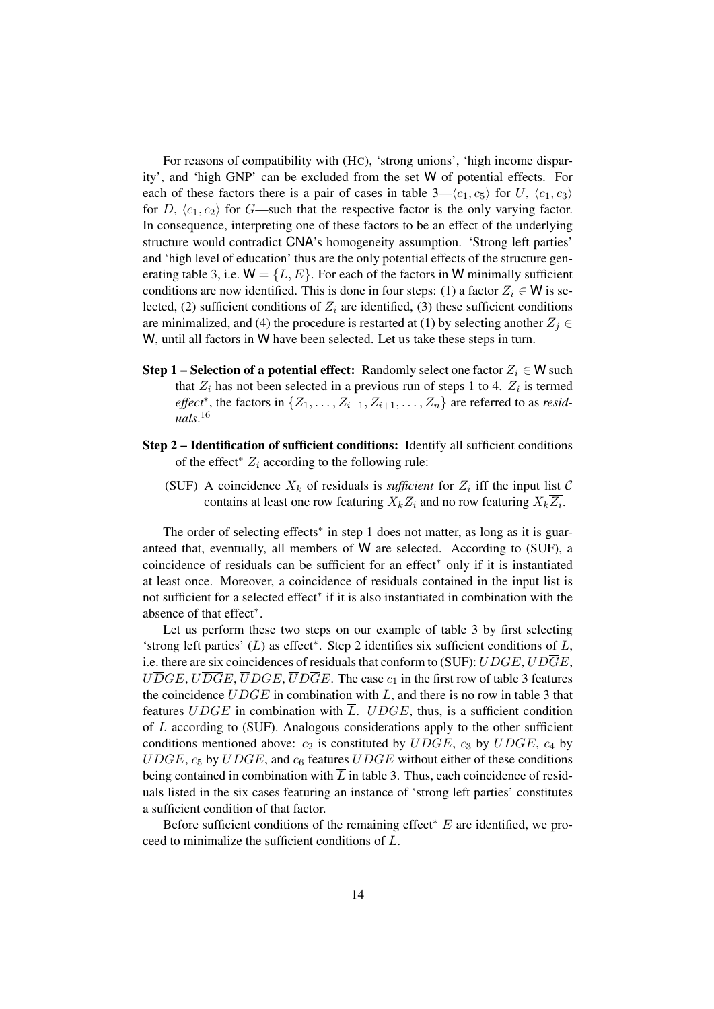For reasons of compatibility with (HC), 'strong unions', 'high income disparity', and 'high GNP' can be excluded from the set W of potential effects. For each of these factors there is a pair of cases in table  $3-\langle c_1, c_5 \rangle$  for U,  $\langle c_1, c_3 \rangle$ for D,  $\langle c_1, c_2 \rangle$  for G—such that the respective factor is the only varying factor. In consequence, interpreting one of these factors to be an effect of the underlying structure would contradict CNA's homogeneity assumption. 'Strong left parties' and 'high level of education' thus are the only potential effects of the structure generating table 3, i.e.  $W = \{L, E\}$ . For each of the factors in W minimally sufficient conditions are now identified. This is done in four steps: (1) a factor  $Z_i \in W$  is selected, (2) sufficient conditions of  $Z_i$  are identified, (3) these sufficient conditions are minimalized, and (4) the procedure is restarted at (1) by selecting another  $Z_i \in$ W, until all factors in W have been selected. Let us take these steps in turn.

- **Step 1** Selection of a potential effect: Randomly select one factor  $Z_i \in W$  such that  $Z_i$  has not been selected in a previous run of steps 1 to 4.  $Z_i$  is termed *effect*<sup>\*</sup>, the factors in  $\{Z_1, \ldots, Z_{i-1}, Z_{i+1}, \ldots, Z_n\}$  are referred to as *residuals*. 16
- Step 2 Identification of sufficient conditions: Identify all sufficient conditions of the effect<sup>\*</sup>  $Z_i$  according to the following rule:
	- (SUF) A coincidence  $X_k$  of residuals is *sufficient* for  $Z_i$  iff the input list  $\mathcal{C}$ contains at least one row featuring  $X_k Z_i$  and no row featuring  $X_k Z_i$ .

The order of selecting effects<sup>\*</sup> in step 1 does not matter, as long as it is guaranteed that, eventually, all members of W are selected. According to (SUF), a coincidence of residuals can be sufficient for an effect<sup>∗</sup> only if it is instantiated at least once. Moreover, a coincidence of residuals contained in the input list is not sufficient for a selected effect<sup>∗</sup> if it is also instantiated in combination with the absence of that effect<sup>∗</sup> .

Let us perform these two steps on our example of table 3 by first selecting 'strong left parties' (L) as effect<sup>∗</sup> . Step 2 identifies six sufficient conditions of L, i.e. there are six coincidences of residuals that conform to (SUF):  $UDGE, UDGE$ ,  $U\overline{D}GE, U\overline{D}GE, \overline{U}DGE, \overline{U}D\overline{G}E$ . The case  $c_1$  in the first row of table 3 features the coincidence  $UDGE$  in combination with  $L$ , and there is no row in table 3 that features UDGE in combination with  $\overline{L}$ . UDGE, thus, is a sufficient condition of  $L$  according to (SUF). Analogous considerations apply to the other sufficient conditions mentioned above:  $c_2$  is constituted by  $UD\overline{G}E$ ,  $c_3$  by  $U\overline{D}GE$ ,  $c_4$  by  $U\overline{D}GE$ ,  $c_5$  by  $\overline{U}DGE$ , and  $c_6$  features  $\overline{U}D\overline{G}E$  without either of these conditions being contained in combination with  $\overline{L}$  in table 3. Thus, each coincidence of residuals listed in the six cases featuring an instance of 'strong left parties' constitutes a sufficient condition of that factor.

Before sufficient conditions of the remaining effect<sup>∗</sup> E are identified, we proceed to minimalize the sufficient conditions of L.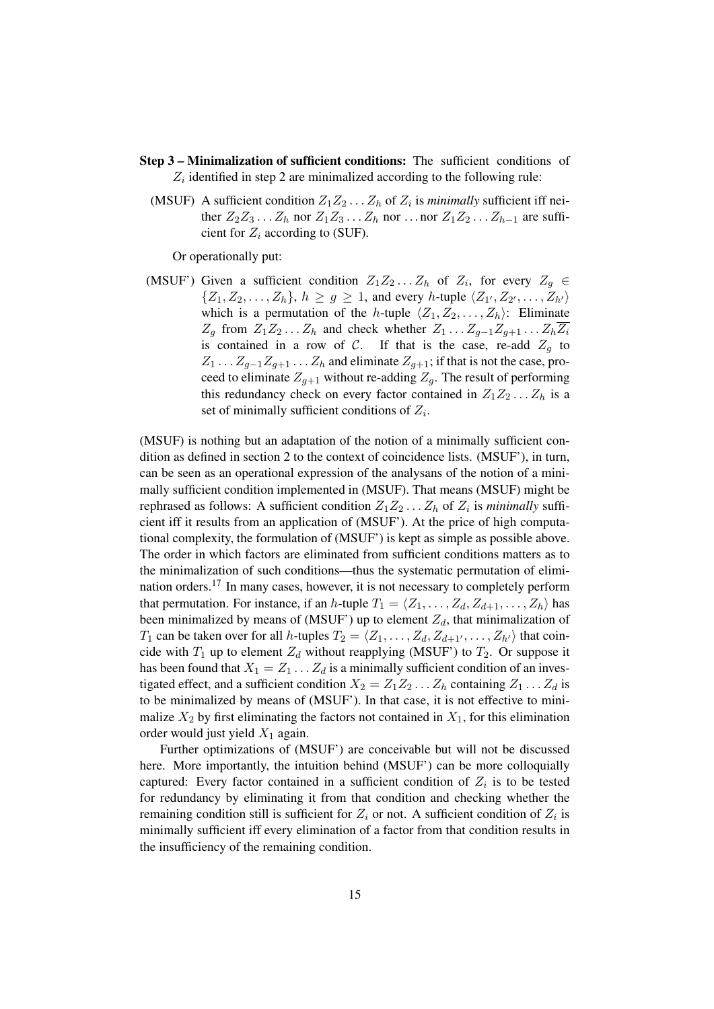- Step 3 Minimalization of sufficient conditions: The sufficient conditions of  $Z_i$  identified in step 2 are minimalized according to the following rule:
	- (MSUF) A sufficient condition  $Z_1 Z_2 \ldots Z_h$  of  $Z_i$  is *minimally* sufficient iff neither  $Z_2Z_3 \ldots Z_h$  nor  $Z_1Z_3 \ldots Z_h$  nor  $\ldots$  nor  $Z_1Z_2 \ldots Z_{h-1}$  are sufficient for  $Z_i$  according to (SUF).

Or operationally put:

(MSUF') Given a sufficient condition  $Z_1 Z_2 ... Z_h$  of  $Z_i$ , for every  $Z_g \in$  $\{Z_1, Z_2, \ldots, Z_h\}, h \ge g \ge 1$ , and every h-tuple  $\langle Z_{1'}, Z_{2'}, \ldots, Z_{h'} \rangle$ which is a permutation of the h-tuple  $\langle Z_1, Z_2, \ldots, Z_h \rangle$ : Eliminate  $Z_g$  from  $Z_1Z_2...Z_h$  and check whether  $Z_1...Z_{g-1}Z_{g+1}...Z_h\overline{Z_i}$ is contained in a row of C. If that is the case, re-add  $Z_g$  to  $Z_1 \ldots Z_{q-1}Z_{q+1} \ldots Z_h$  and eliminate  $Z_{q+1}$ ; if that is not the case, proceed to eliminate  $Z_{q+1}$  without re-adding  $Z_q$ . The result of performing this redundancy check on every factor contained in  $Z_1Z_2 \ldots Z_h$  is a set of minimally sufficient conditions of  $Z_i$ .

(MSUF) is nothing but an adaptation of the notion of a minimally sufficient condition as defined in section 2 to the context of coincidence lists. (MSUF'), in turn, can be seen as an operational expression of the analysans of the notion of a minimally sufficient condition implemented in (MSUF). That means (MSUF) might be rephrased as follows: A sufficient condition  $Z_1 Z_2 \dots Z_h$  of  $Z_i$  is *minimally* sufficient iff it results from an application of (MSUF'). At the price of high computational complexity, the formulation of (MSUF') is kept as simple as possible above. The order in which factors are eliminated from sufficient conditions matters as to the minimalization of such conditions—thus the systematic permutation of elimination orders.<sup>17</sup> In many cases, however, it is not necessary to completely perform that permutation. For instance, if an h-tuple  $T_1 = \langle Z_1, \ldots, Z_d, Z_{d+1}, \ldots, Z_h \rangle$  has been minimalized by means of (MSUF') up to element  $Z_d$ , that minimalization of  $T_1$  can be taken over for all h-tuples  $T_2 = \langle Z_1, \ldots, Z_d, Z_{d+1}, \ldots, Z_{h'} \rangle$  that coincide with  $T_1$  up to element  $Z_d$  without reapplying (MSUF') to  $T_2$ . Or suppose it has been found that  $X_1 = Z_1 \dots Z_d$  is a minimally sufficient condition of an investigated effect, and a sufficient condition  $X_2 = Z_1 Z_2 \dots Z_h$  containing  $Z_1 \dots Z_d$  is to be minimalized by means of (MSUF'). In that case, it is not effective to minimalize  $X_2$  by first eliminating the factors not contained in  $X_1$ , for this elimination order would just yield  $X_1$  again.

Further optimizations of (MSUF') are conceivable but will not be discussed here. More importantly, the intuition behind (MSUF') can be more colloquially captured: Every factor contained in a sufficient condition of  $Z_i$  is to be tested for redundancy by eliminating it from that condition and checking whether the remaining condition still is sufficient for  $Z_i$  or not. A sufficient condition of  $Z_i$  is minimally sufficient iff every elimination of a factor from that condition results in the insufficiency of the remaining condition.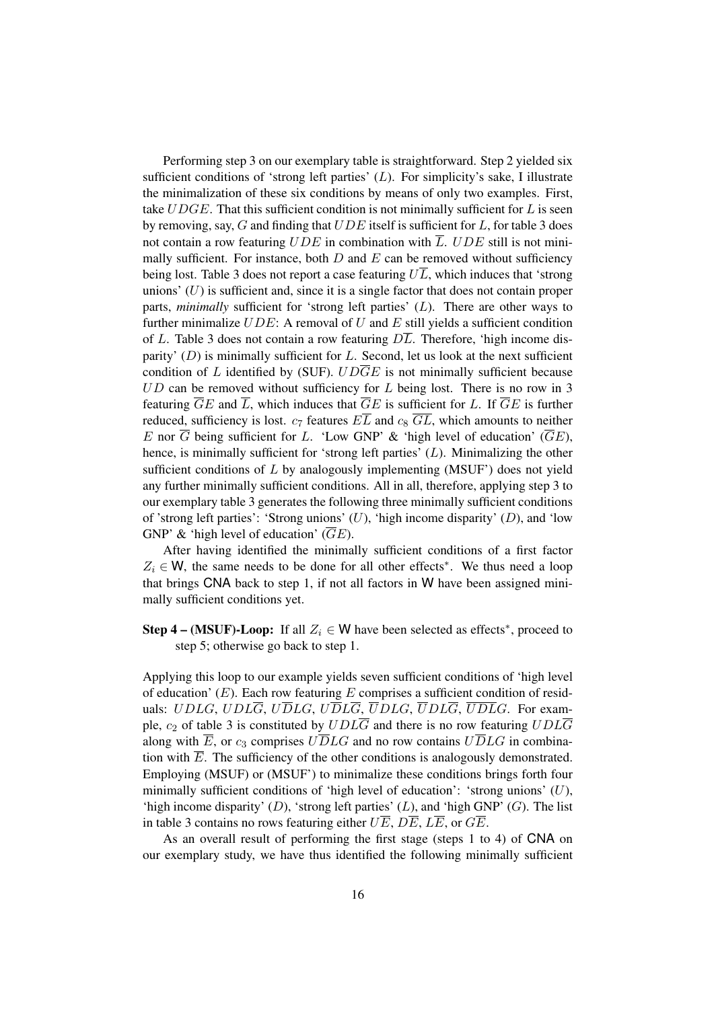Performing step 3 on our exemplary table is straightforward. Step 2 yielded six sufficient conditions of 'strong left parties'  $(L)$ . For simplicity's sake, I illustrate the minimalization of these six conditions by means of only two examples. First, take  $UDGE$ . That this sufficient condition is not minimally sufficient for  $L$  is seen by removing, say,  $G$  and finding that  $UDE$  itself is sufficient for  $L$ , for table 3 does not contain a row featuring  $UDE$  in combination with  $\overline{L}$ .  $UDE$  still is not minimally sufficient. For instance, both  $D$  and  $E$  can be removed without sufficiency being lost. Table 3 does not report a case featuring  $U\overline{L}$ , which induces that 'strong unions'  $(U)$  is sufficient and, since it is a single factor that does not contain proper parts, *minimally* sufficient for 'strong left parties' (L). There are other ways to further minimalize  $UDE$ : A removal of U and E still yields a sufficient condition of L. Table 3 does not contain a row featuring  $DL$ . Therefore, 'high income disparity'  $(D)$  is minimally sufficient for  $L$ . Second, let us look at the next sufficient condition of L identified by (SUF).  $UD\overline{G}E$  is not minimally sufficient because  $UD$  can be removed without sufficiency for  $L$  being lost. There is no row in 3 featuring  $\overline{G}E$  and  $\overline{L}$ , which induces that  $\overline{G}E$  is sufficient for L. If  $\overline{G}E$  is further reduced, sufficiency is lost.  $c_7$  features  $E\overline{L}$  and  $c_8$   $\overline{GL}$ , which amounts to neither E nor  $\overline{G}$  being sufficient for L. 'Low GNP' & 'high level of education' ( $\overline{G}E$ ), hence, is minimally sufficient for 'strong left parties'  $(L)$ . Minimalizing the other sufficient conditions of  $L$  by analogously implementing (MSUF') does not yield any further minimally sufficient conditions. All in all, therefore, applying step 3 to our exemplary table 3 generates the following three minimally sufficient conditions of 'strong left parties': 'Strong unions'  $(U)$ , 'high income disparity'  $(D)$ , and 'low GNP' & 'high level of education'  $(\overline{G}E)$ .

After having identified the minimally sufficient conditions of a first factor  $Z_i \in W$ , the same needs to be done for all other effects<sup>\*</sup>. We thus need a loop that brings CNA back to step 1, if not all factors in W have been assigned minimally sufficient conditions yet.

**Step 4 – (MSUF)-Loop:** If all  $Z_i \in W$  have been selected as effects<sup>\*</sup>, proceed to step 5; otherwise go back to step 1.

Applying this loop to our example yields seven sufficient conditions of 'high level of education'  $(E)$ . Each row featuring E comprises a sufficient condition of residuals: UDLG, UDL $\overline{G}$ , U $\overline{D}LG$ , U $\overline{D}L\overline{G}$ ,  $\overline{U}DLG$ ,  $\overline{U}DL\overline{G}$ ,  $\overline{U}\overline{D}\overline{L}G$ . For example,  $c_2$  of table 3 is constituted by  $UDL\overline{G}$  and there is no row featuring  $UDL\overline{G}$ along with  $\overline{E}$ , or  $c_3$  comprises  $U\overline{D}LG$  and no row contains  $U\overline{D}LG$  in combination with  $\overline{E}$ . The sufficiency of the other conditions is analogously demonstrated. Employing (MSUF) or (MSUF') to minimalize these conditions brings forth four minimally sufficient conditions of 'high level of education': 'strong unions'  $(U)$ , 'high income disparity'  $(D)$ , 'strong left parties'  $(L)$ , and 'high GNP'  $(G)$ . The list in table 3 contains no rows featuring either  $U\overline{E}$ ,  $D\overline{E}$ ,  $L\overline{E}$ , or  $G\overline{E}$ .

As an overall result of performing the first stage (steps 1 to 4) of CNA on our exemplary study, we have thus identified the following minimally sufficient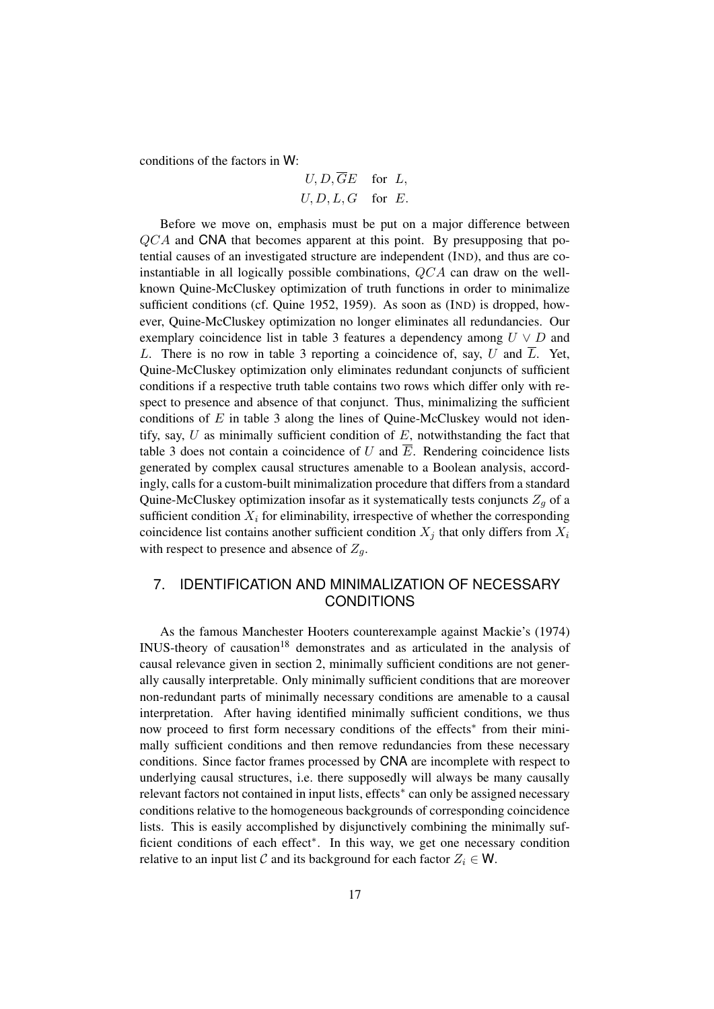conditions of the factors in W:

$$
U, D, \overline{G}E \quad \text{for } L,
$$
  

$$
U, D, L, G \quad \text{for } E.
$$

Before we move on, emphasis must be put on a major difference between  $QCA$  and CNA that becomes apparent at this point. By presupposing that potential causes of an investigated structure are independent (IND), and thus are coinstantiable in all logically possible combinations, QCA can draw on the wellknown Quine-McCluskey optimization of truth functions in order to minimalize sufficient conditions (cf. Quine 1952, 1959). As soon as (IND) is dropped, however, Quine-McCluskey optimization no longer eliminates all redundancies. Our exemplary coincidence list in table 3 features a dependency among  $U \vee D$  and L. There is no row in table 3 reporting a coincidence of, say, U and  $\overline{L}$ . Yet, Quine-McCluskey optimization only eliminates redundant conjuncts of sufficient conditions if a respective truth table contains two rows which differ only with respect to presence and absence of that conjunct. Thus, minimalizing the sufficient conditions of  $E$  in table 3 along the lines of Quine-McCluskey would not identify, say,  $U$  as minimally sufficient condition of  $E$ , notwithstanding the fact that table 3 does not contain a coincidence of U and  $\overline{E}$ . Rendering coincidence lists generated by complex causal structures amenable to a Boolean analysis, accordingly, calls for a custom-built minimalization procedure that differs from a standard Quine-McCluskey optimization insofar as it systematically tests conjuncts  $Z_a$  of a sufficient condition  $X_i$  for eliminability, irrespective of whether the corresponding coincidence list contains another sufficient condition  $X_i$  that only differs from  $X_i$ with respect to presence and absence of  $Z_q$ .

# 7. IDENTIFICATION AND MINIMALIZATION OF NECESSARY CONDITIONS

As the famous Manchester Hooters counterexample against Mackie's (1974) INUS-theory of causation<sup>18</sup> demonstrates and as articulated in the analysis of causal relevance given in section 2, minimally sufficient conditions are not generally causally interpretable. Only minimally sufficient conditions that are moreover non-redundant parts of minimally necessary conditions are amenable to a causal interpretation. After having identified minimally sufficient conditions, we thus now proceed to first form necessary conditions of the effects<sup>\*</sup> from their minimally sufficient conditions and then remove redundancies from these necessary conditions. Since factor frames processed by CNA are incomplete with respect to underlying causal structures, i.e. there supposedly will always be many causally relevant factors not contained in input lists, effects<sup>∗</sup> can only be assigned necessary conditions relative to the homogeneous backgrounds of corresponding coincidence lists. This is easily accomplished by disjunctively combining the minimally sufficient conditions of each effect<sup>∗</sup> . In this way, we get one necessary condition relative to an input list C and its background for each factor  $Z_i \in W$ .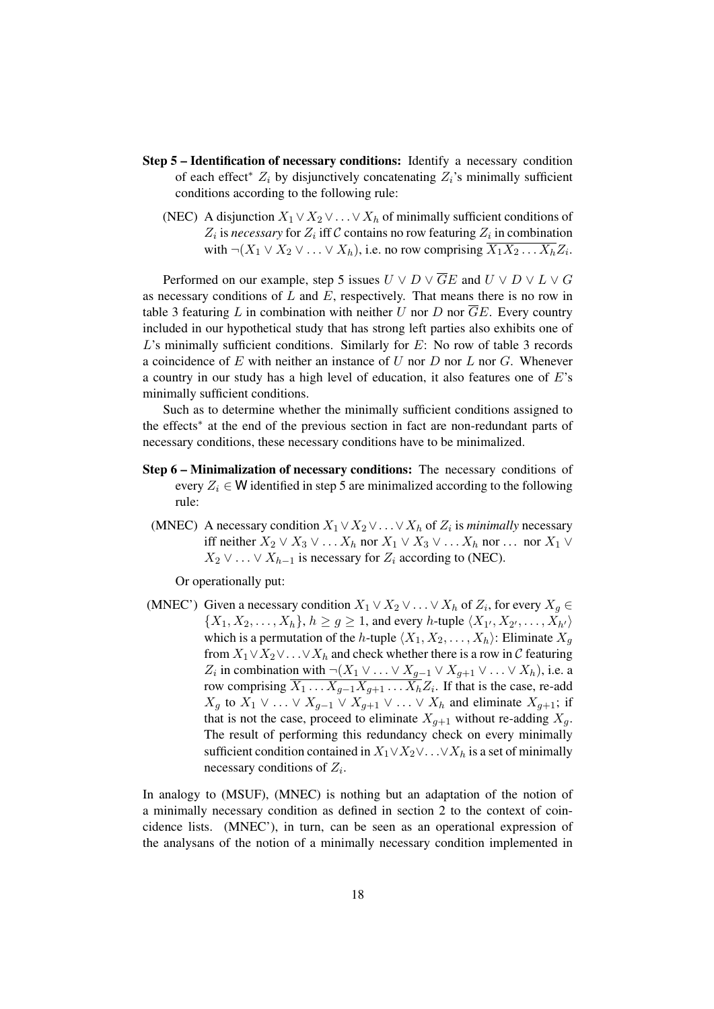- Step 5 Identification of necessary conditions: Identify a necessary condition of each effect<sup>\*</sup>  $Z_i$  by disjunctively concatenating  $Z_i$ 's minimally sufficient conditions according to the following rule:
	- (NEC) A disjunction  $X_1 \vee X_2 \vee \ldots \vee X_h$  of minimally sufficient conditions of  $Z_i$  is *necessary* for  $Z_i$  iff C contains no row featuring  $Z_i$  in combination with  $\neg(X_1 \lor X_2 \lor \dots \lor X_h)$ , i.e. no row comprising  $X_1 X_2 \dots X_h Z_i$ .

Performed on our example, step 5 issues  $U \vee D \vee \overline{G}E$  and  $U \vee D \vee L \vee G$ as necessary conditions of  $L$  and  $E$ , respectively. That means there is no row in table 3 featuring L in combination with neither U nor D nor  $\overline{G}E$ . Every country included in our hypothetical study that has strong left parties also exhibits one of  $L$ 's minimally sufficient conditions. Similarly for  $E$ : No row of table 3 records a coincidence of  $E$  with neither an instance of  $U$  nor  $D$  nor  $L$  nor  $G$ . Whenever a country in our study has a high level of education, it also features one of E's minimally sufficient conditions.

Such as to determine whether the minimally sufficient conditions assigned to the effects<sup>∗</sup> at the end of the previous section in fact are non-redundant parts of necessary conditions, these necessary conditions have to be minimalized.

- Step 6 Minimalization of necessary conditions: The necessary conditions of every  $Z_i \in W$  identified in step 5 are minimalized according to the following rule:
	- (MNEC) A necessary condition  $X_1 \vee X_2 \vee \ldots \vee X_h$  of  $Z_i$  is *minimally* necessary iff neither  $X_2 \vee X_3 \vee \dots X_h$  nor  $X_1 \vee X_3 \vee \dots X_h$  nor  $\dots$  nor  $X_1 \vee$  $X_2 \vee \ldots \vee X_{h-1}$  is necessary for  $Z_i$  according to (NEC).

Or operationally put:

(MNEC') Given a necessary condition  $X_1 \vee X_2 \vee \ldots \vee X_h$  of  $Z_i$ , for every  $X_g \in$  $\{X_1, X_2, \ldots, X_h\}, h \ge g \ge 1$ , and every h-tuple  $\langle X_{1'}, X_{2'}, \ldots, X_{h'} \rangle$ which is a permutation of the h-tuple  $\langle X_1, X_2, \ldots, X_h \rangle$ : Eliminate  $X_g$ from  $X_1 \vee X_2 \vee \ldots \vee X_h$  and check whether there is a row in C featuring  $Z_i$  in combination with  $\neg(X_1 \lor \dots \lor X_{g-1} \lor X_{g+1} \lor \dots \lor X_h)$ , i.e. a row comprising  $X_1 \dots X_{g-1} X_{g+1} \dots X_h Z_i$ . If that is the case, re-add  $X_g$  to  $X_1 \vee \ldots \vee X_{g-1} \vee X_{g+1} \vee \ldots \vee X_h$  and eliminate  $X_{g+1}$ ; if that is not the case, proceed to eliminate  $X_{g+1}$  without re-adding  $X_g$ . The result of performing this redundancy check on every minimally sufficient condition contained in  $X_1 \vee X_2 \vee \ldots \vee X_h$  is a set of minimally necessary conditions of  $Z_i$ .

In analogy to (MSUF), (MNEC) is nothing but an adaptation of the notion of a minimally necessary condition as defined in section 2 to the context of coincidence lists. (MNEC'), in turn, can be seen as an operational expression of the analysans of the notion of a minimally necessary condition implemented in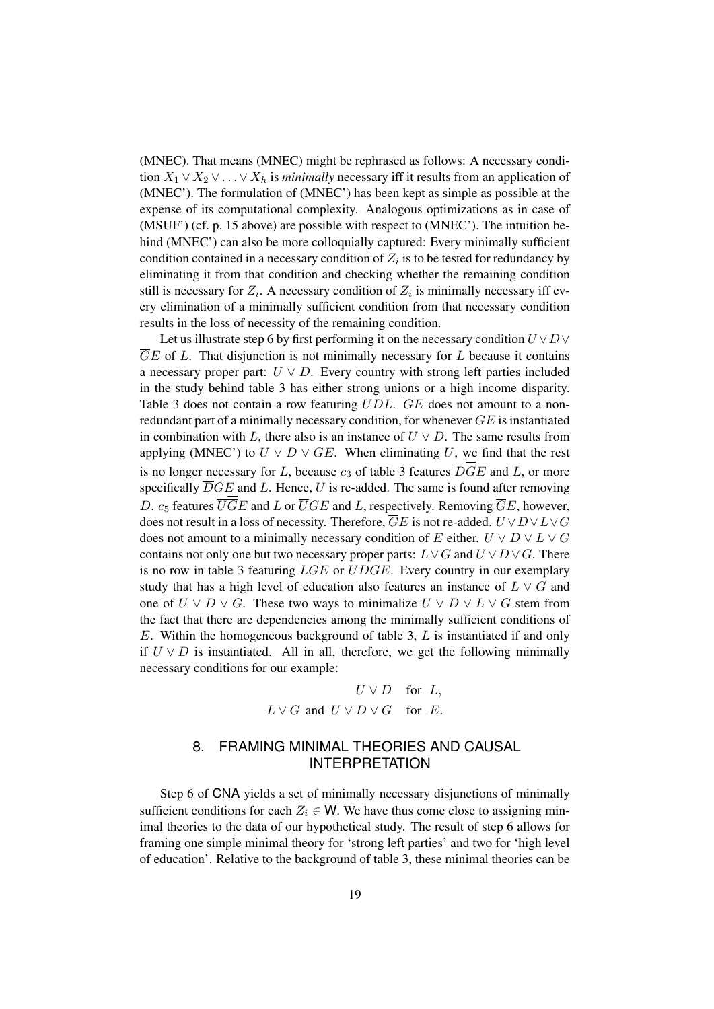(MNEC). That means (MNEC) might be rephrased as follows: A necessary condition  $X_1 \vee X_2 \vee \ldots \vee X_h$  is *minimally* necessary iff it results from an application of (MNEC'). The formulation of (MNEC') has been kept as simple as possible at the expense of its computational complexity. Analogous optimizations as in case of (MSUF') (cf. p. 15 above) are possible with respect to (MNEC'). The intuition behind (MNEC') can also be more colloquially captured: Every minimally sufficient condition contained in a necessary condition of  $Z_i$  is to be tested for redundancy by eliminating it from that condition and checking whether the remaining condition still is necessary for  $Z_i$ . A necessary condition of  $Z_i$  is minimally necessary iff every elimination of a minimally sufficient condition from that necessary condition results in the loss of necessity of the remaining condition.

Let us illustrate step 6 by first performing it on the necessary condition  $U \vee D \vee$  $\overline{GE}$  of L. That disjunction is not minimally necessary for L because it contains a necessary proper part:  $U \vee D$ . Every country with strong left parties included in the study behind table 3 has either strong unions or a high income disparity. Table 3 does not contain a row featuring  $\overline{U}\overline{D}L$ .  $\overline{G}E$  does not amount to a nonredundant part of a minimally necessary condition, for whenever  $\overline{G}E$  is instantiated in combination with L, there also is an instance of  $U \vee D$ . The same results from applying (MNEC') to  $U \vee D \vee \overline{G}E$ . When eliminating U, we find that the rest is no longer necessary for L, because  $c_3$  of table 3 features  $\overline{DG}E$  and L, or more specifically  $\overline{D}GE$  and L. Hence, U is re-added. The same is found after removing D.  $c_5$  features  $\overline{U}\overline{G}E$  and L or  $\overline{U}GE$  and L, respectively. Removing  $\overline{G}E$ , however, does not result in a loss of necessity. Therefore,  $\overline{G}E$  is not re-added.  $U \vee D \vee L \vee G$ does not amount to a minimally necessary condition of E either.  $U \vee D \vee L \vee G$ contains not only one but two necessary proper parts:  $L \vee G$  and  $U \vee D \vee G$ . There is no row in table 3 featuring  $\overline{LGE}$  or  $\overline{UDGE}$ . Every country in our exemplary study that has a high level of education also features an instance of  $L \vee G$  and one of  $U \vee D \vee G$ . These two ways to minimalize  $U \vee D \vee L \vee G$  stem from the fact that there are dependencies among the minimally sufficient conditions of  $E$ . Within the homogeneous background of table 3,  $L$  is instantiated if and only if  $U \vee D$  is instantiated. All in all, therefore, we get the following minimally necessary conditions for our example:

> $U \vee D$  for  $L$ ,  $L \vee G$  and  $U \vee D \vee G$  for E.

### 8. FRAMING MINIMAL THEORIES AND CAUSAL INTERPRETATION

Step 6 of CNA yields a set of minimally necessary disjunctions of minimally sufficient conditions for each  $Z_i \in W$ . We have thus come close to assigning minimal theories to the data of our hypothetical study. The result of step 6 allows for framing one simple minimal theory for 'strong left parties' and two for 'high level of education'. Relative to the background of table 3, these minimal theories can be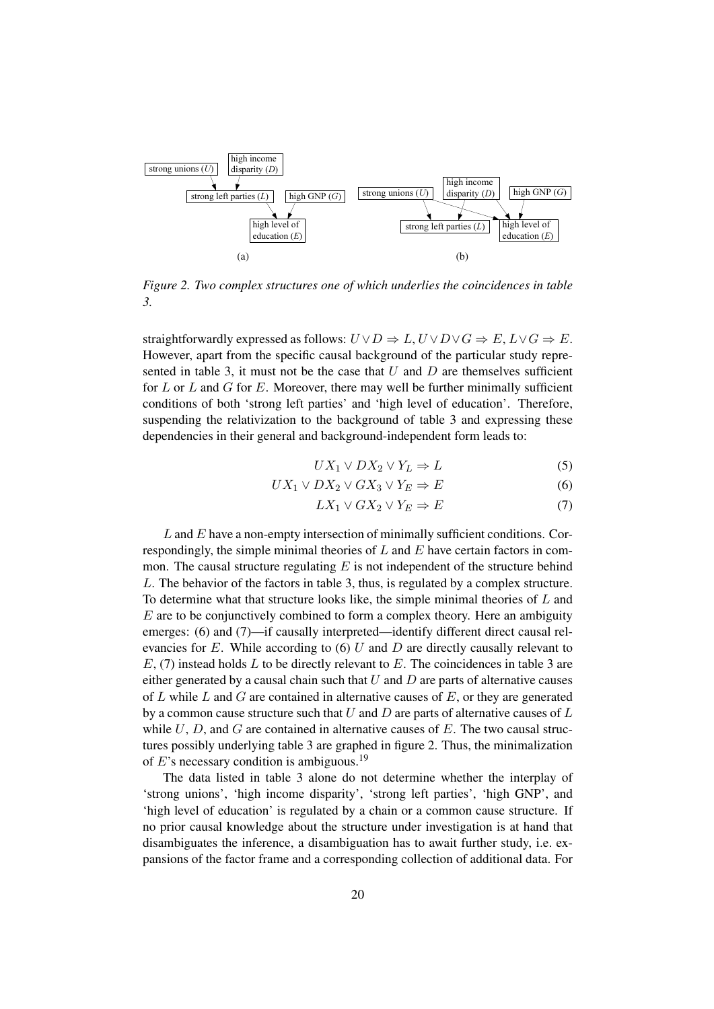

*Figure 2. Two complex structures one of which underlies the coincidences in table 3.*

straightforwardly expressed as follows:  $U \vee D \Rightarrow L$ ,  $U \vee D \vee G \Rightarrow E$ ,  $L \vee G \Rightarrow E$ . However, apart from the specific causal background of the particular study represented in table 3, it must not be the case that  $U$  and  $D$  are themselves sufficient for  $L$  or  $L$  and  $G$  for  $E$ . Moreover, there may well be further minimally sufficient conditions of both 'strong left parties' and 'high level of education'. Therefore, suspending the relativization to the background of table 3 and expressing these dependencies in their general and background-independent form leads to:

$$
UX_1 \vee DX_2 \vee Y_L \Rightarrow L \tag{5}
$$

$$
UX_1 \vee DX_2 \vee GX_3 \vee Y_E \Rightarrow E \tag{6}
$$

$$
LX_1 \vee GX_2 \vee Y_E \Rightarrow E \tag{7}
$$

 $L$  and  $E$  have a non-empty intersection of minimally sufficient conditions. Correspondingly, the simple minimal theories of  $L$  and  $E$  have certain factors in common. The causal structure regulating  $E$  is not independent of the structure behind L. The behavior of the factors in table 3, thus, is regulated by a complex structure. To determine what that structure looks like, the simple minimal theories of  $L$  and  $E$  are to be conjunctively combined to form a complex theory. Here an ambiguity emerges: (6) and (7)—if causally interpreted—identify different direct causal relevancies for  $E$ . While according to (6)  $U$  and  $D$  are directly causally relevant to  $E$ , (7) instead holds L to be directly relevant to E. The coincidences in table 3 are either generated by a causal chain such that  $U$  and  $D$  are parts of alternative causes of  $L$  while  $L$  and  $G$  are contained in alternative causes of  $E$ , or they are generated by a common cause structure such that  $U$  and  $D$  are parts of alternative causes of  $L$ while  $U$ ,  $D$ , and  $G$  are contained in alternative causes of  $E$ . The two causal structures possibly underlying table 3 are graphed in figure 2. Thus, the minimalization of E's necessary condition is ambiguous.<sup>19</sup>

The data listed in table 3 alone do not determine whether the interplay of 'strong unions', 'high income disparity', 'strong left parties', 'high GNP', and 'high level of education' is regulated by a chain or a common cause structure. If no prior causal knowledge about the structure under investigation is at hand that disambiguates the inference, a disambiguation has to await further study, i.e. expansions of the factor frame and a corresponding collection of additional data. For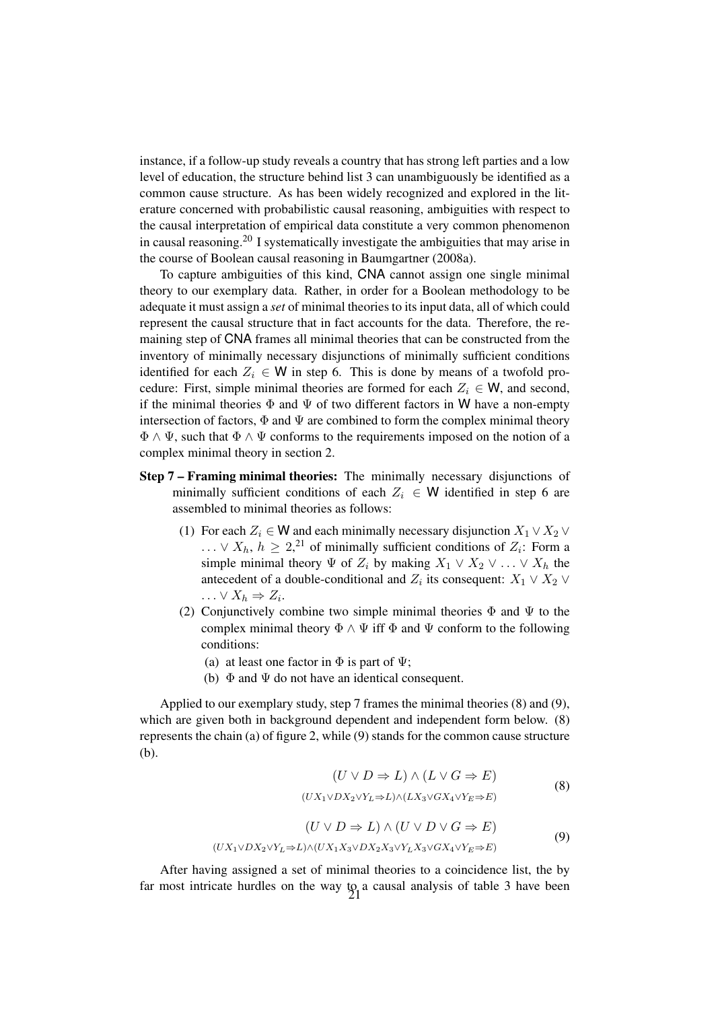instance, if a follow-up study reveals a country that has strong left parties and a low level of education, the structure behind list 3 can unambiguously be identified as a common cause structure. As has been widely recognized and explored in the literature concerned with probabilistic causal reasoning, ambiguities with respect to the causal interpretation of empirical data constitute a very common phenomenon in causal reasoning.<sup>20</sup> I systematically investigate the ambiguities that may arise in the course of Boolean causal reasoning in Baumgartner (2008a).

To capture ambiguities of this kind, CNA cannot assign one single minimal theory to our exemplary data. Rather, in order for a Boolean methodology to be adequate it must assign a *set* of minimal theories to its input data, all of which could represent the causal structure that in fact accounts for the data. Therefore, the remaining step of CNA frames all minimal theories that can be constructed from the inventory of minimally necessary disjunctions of minimally sufficient conditions identified for each  $Z_i \in W$  in step 6. This is done by means of a twofold procedure: First, simple minimal theories are formed for each  $Z_i \in W$ , and second, if the minimal theories  $\Phi$  and  $\Psi$  of two different factors in W have a non-empty intersection of factors,  $\Phi$  and  $\Psi$  are combined to form the complex minimal theory  $\Phi \wedge \Psi$ , such that  $\Phi \wedge \Psi$  conforms to the requirements imposed on the notion of a complex minimal theory in section 2.

- Step 7 Framing minimal theories: The minimally necessary disjunctions of minimally sufficient conditions of each  $Z_i \in W$  identified in step 6 are assembled to minimal theories as follows:
	- (1) For each  $Z_i \in W$  and each minimally necessary disjunction  $X_1 \vee X_2 \vee$  $\ldots \vee X_h$ ,  $h \geq 2$ ,<sup>21</sup> of minimally sufficient conditions of  $Z_i$ : Form a simple minimal theory  $\Psi$  of  $Z_i$  by making  $X_1 \vee X_2 \vee \ldots \vee X_h$  the antecedent of a double-conditional and  $Z_i$  its consequent:  $X_1 \vee X_2 \vee$  $\ldots \vee X_h \Rightarrow Z_i.$
	- (2) Conjunctively combine two simple minimal theories  $\Phi$  and  $\Psi$  to the complex minimal theory  $\Phi \wedge \Psi$  iff  $\Phi$  and  $\Psi$  conform to the following conditions:
		- (a) at least one factor in  $\Phi$  is part of  $\Psi$ ;
		- (b)  $\Phi$  and  $\Psi$  do not have an identical consequent.

Applied to our exemplary study, step 7 frames the minimal theories (8) and (9), which are given both in background dependent and independent form below. (8) represents the chain (a) of figure 2, while (9) stands for the common cause structure (b).

$$
(U \lor D \Rightarrow L) \land (L \lor G \Rightarrow E)
$$
  

$$
(U X_1 \lor D X_2 \lor Y_L \Rightarrow L) \land (L X_3 \lor G X_4 \lor Y_E \Rightarrow E)
$$
 (8)

$$
(U \lor D \Rightarrow L) \land (U \lor D \lor G \Rightarrow E)
$$
  

$$
(UX_1 \lor DX_2 \lor Y_L \Rightarrow L) \land (UX_1 X_3 \lor DX_2 X_3 \lor Y_L X_3 \lor GX_4 \lor Y_E \Rightarrow E)
$$

$$
(9)
$$

After having assigned a set of minimal theories to a coincidence list, the by far most intricate hurdles on the way to a causal analysis of table 3 have been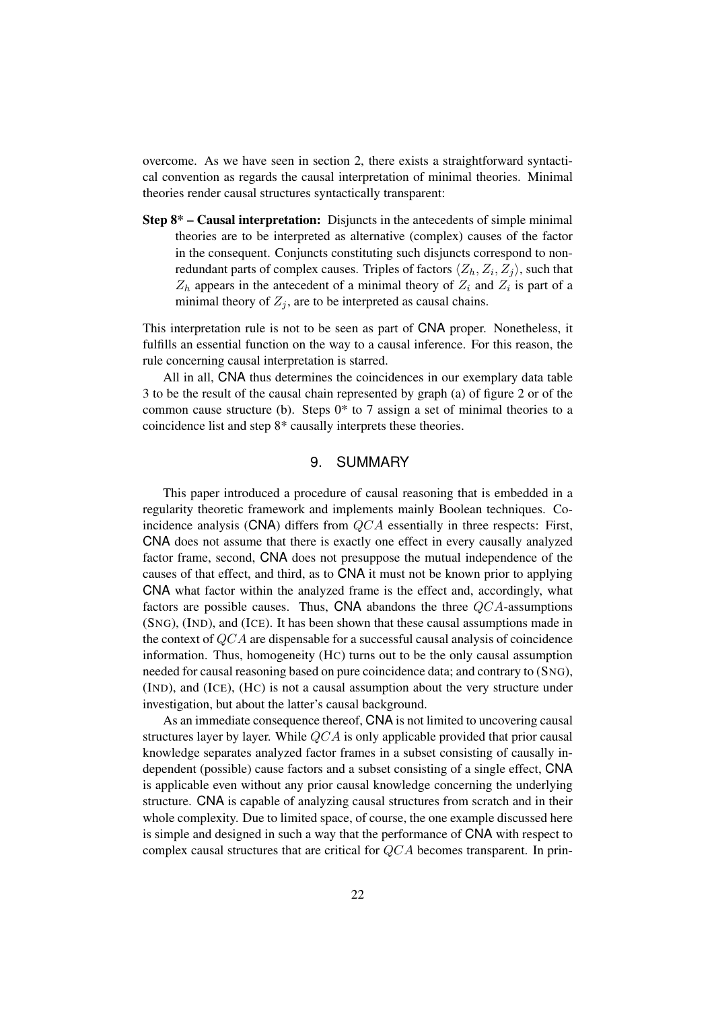overcome. As we have seen in section 2, there exists a straightforward syntactical convention as regards the causal interpretation of minimal theories. Minimal theories render causal structures syntactically transparent:

Step 8\* – Causal interpretation: Disjuncts in the antecedents of simple minimal theories are to be interpreted as alternative (complex) causes of the factor in the consequent. Conjuncts constituting such disjuncts correspond to nonredundant parts of complex causes. Triples of factors  $\langle Z_h, Z_i, Z_j \rangle$ , such that  $Z_h$  appears in the antecedent of a minimal theory of  $Z_i$  and  $Z_i$  is part of a minimal theory of  $Z_i$ , are to be interpreted as causal chains.

This interpretation rule is not to be seen as part of CNA proper. Nonetheless, it fulfills an essential function on the way to a causal inference. For this reason, the rule concerning causal interpretation is starred.

All in all, CNA thus determines the coincidences in our exemplary data table 3 to be the result of the causal chain represented by graph (a) of figure 2 or of the common cause structure (b). Steps  $0^*$  to 7 assign a set of minimal theories to a coincidence list and step 8\* causally interprets these theories.

## 9. SUMMARY

This paper introduced a procedure of causal reasoning that is embedded in a regularity theoretic framework and implements mainly Boolean techniques. Coincidence analysis (CNA) differs from  $QCA$  essentially in three respects: First, CNA does not assume that there is exactly one effect in every causally analyzed factor frame, second, CNA does not presuppose the mutual independence of the causes of that effect, and third, as to CNA it must not be known prior to applying CNA what factor within the analyzed frame is the effect and, accordingly, what factors are possible causes. Thus, CNA abandons the three  $QCA$ -assumptions (SNG), (IND), and (ICE). It has been shown that these causal assumptions made in the context of QCA are dispensable for a successful causal analysis of coincidence information. Thus, homogeneity (HC) turns out to be the only causal assumption needed for causal reasoning based on pure coincidence data; and contrary to (SNG), (IND), and (ICE), (HC) is not a causal assumption about the very structure under investigation, but about the latter's causal background.

As an immediate consequence thereof, CNA is not limited to uncovering causal structures layer by layer. While  $QCA$  is only applicable provided that prior causal knowledge separates analyzed factor frames in a subset consisting of causally independent (possible) cause factors and a subset consisting of a single effect, CNA is applicable even without any prior causal knowledge concerning the underlying structure. CNA is capable of analyzing causal structures from scratch and in their whole complexity. Due to limited space, of course, the one example discussed here is simple and designed in such a way that the performance of CNA with respect to complex causal structures that are critical for QCA becomes transparent. In prin-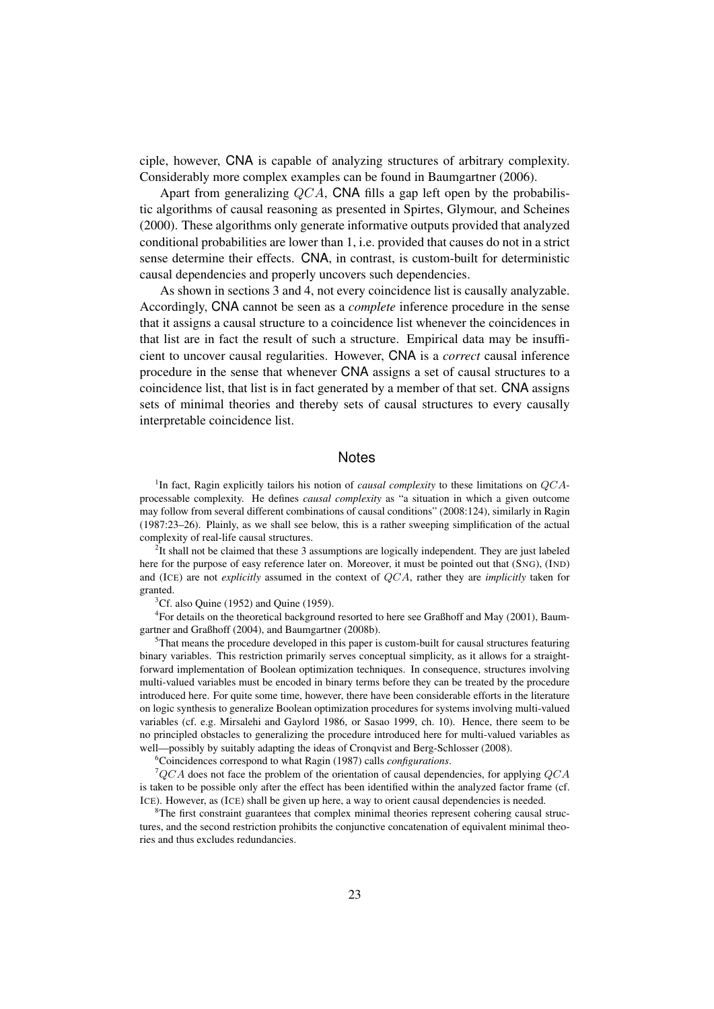ciple, however, CNA is capable of analyzing structures of arbitrary complexity. Considerably more complex examples can be found in Baumgartner (2006).

Apart from generalizing QCA, CNA fills a gap left open by the probabilistic algorithms of causal reasoning as presented in Spirtes, Glymour, and Scheines (2000). These algorithms only generate informative outputs provided that analyzed conditional probabilities are lower than 1, i.e. provided that causes do not in a strict sense determine their effects. CNA, in contrast, is custom-built for deterministic causal dependencies and properly uncovers such dependencies.

As shown in sections 3 and 4, not every coincidence list is causally analyzable. Accordingly, CNA cannot be seen as a *complete* inference procedure in the sense that it assigns a causal structure to a coincidence list whenever the coincidences in that list are in fact the result of such a structure. Empirical data may be insufficient to uncover causal regularities. However, CNA is a *correct* causal inference procedure in the sense that whenever CNA assigns a set of causal structures to a coincidence list, that list is in fact generated by a member of that set. CNA assigns sets of minimal theories and thereby sets of causal structures to every causally interpretable coincidence list.

#### **Notes**

<sup>1</sup>In fact, Ragin explicitly tailors his notion of *causal complexity* to these limitations on QCAprocessable complexity. He defines *causal complexity* as "a situation in which a given outcome may follow from several different combinations of causal conditions" (2008:124), similarly in Ragin (1987:23–26). Plainly, as we shall see below, this is a rather sweeping simplification of the actual complexity of real-life causal structures.

 $2$ It shall not be claimed that these 3 assumptions are logically independent. They are just labeled here for the purpose of easy reference later on. Moreover, it must be pointed out that (SNG), (IND) and (ICE) are not *explicitly* assumed in the context of QCA, rather they are *implicitly* taken for granted.

 ${}^{3}$ Cf. also Quine (1952) and Quine (1959).

<sup>4</sup> For details on the theoretical background resorted to here see Graßhoff and May (2001), Baumgartner and Graßhoff (2004), and Baumgartner (2008b).

<sup>5</sup>That means the procedure developed in this paper is custom-built for causal structures featuring binary variables. This restriction primarily serves conceptual simplicity, as it allows for a straightforward implementation of Boolean optimization techniques. In consequence, structures involving multi-valued variables must be encoded in binary terms before they can be treated by the procedure introduced here. For quite some time, however, there have been considerable efforts in the literature on logic synthesis to generalize Boolean optimization procedures for systems involving multi-valued variables (cf. e.g. Mirsalehi and Gaylord 1986, or Sasao 1999, ch. 10). Hence, there seem to be no principled obstacles to generalizing the procedure introduced here for multi-valued variables as well—possibly by suitably adapting the ideas of Cronqvist and Berg-Schlosser (2008).

<sup>6</sup>Coincidences correspond to what Ragin (1987) calls *configurations*.

 ${}^{7}QCA$  does not face the problem of the orientation of causal dependencies, for applying  $QCA$ is taken to be possible only after the effect has been identified within the analyzed factor frame (cf. ICE). However, as (ICE) shall be given up here, a way to orient causal dependencies is needed.

The first constraint guarantees that complex minimal theories represent cohering causal structures, and the second restriction prohibits the conjunctive concatenation of equivalent minimal theories and thus excludes redundancies.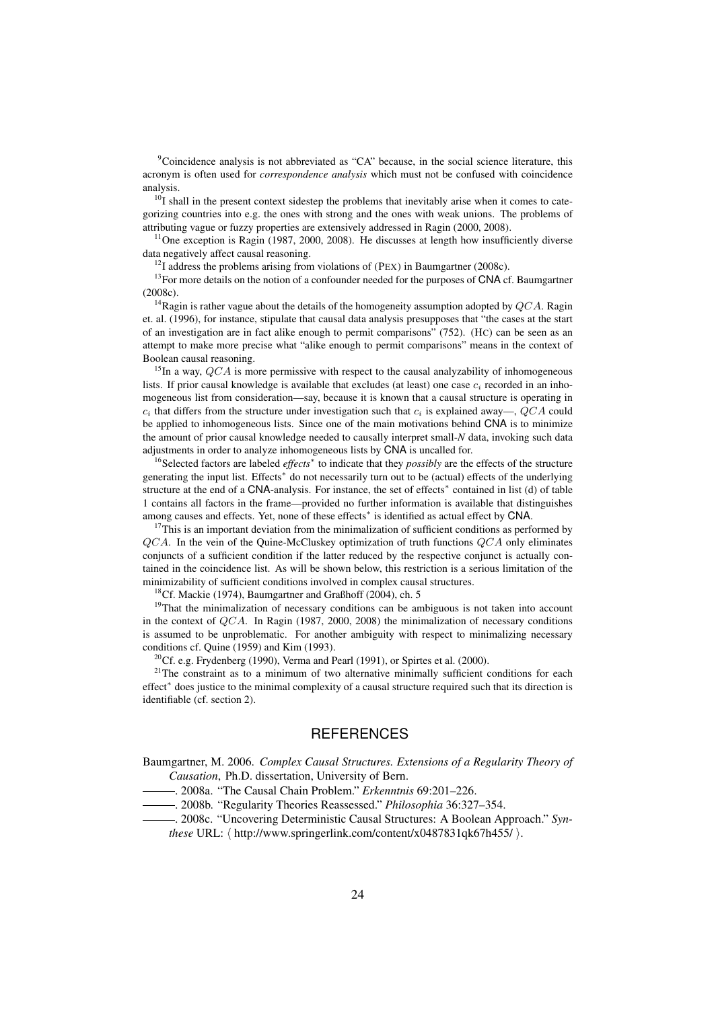<sup>9</sup>Coincidence analysis is not abbreviated as "CA" because, in the social science literature, this acronym is often used for *correspondence analysis* which must not be confused with coincidence analysis.

 $10<sup>T</sup>$  shall in the present context sidestep the problems that inevitably arise when it comes to categorizing countries into e.g. the ones with strong and the ones with weak unions. The problems of attributing vague or fuzzy properties are extensively addressed in Ragin (2000, 2008).

<sup>11</sup>One exception is Ragin (1987, 2000, 2008). He discusses at length how insufficiently diverse data negatively affect causal reasoning.

 $12$ I address the problems arising from violations of (PEX) in Baumgartner (2008c).

<sup>13</sup>For more details on the notion of a confounder needed for the purposes of CNA cf. Baumgartner (2008c).

<sup>14</sup>Ragin is rather vague about the details of the homogeneity assumption adopted by  $QCA$ . Ragin et. al. (1996), for instance, stipulate that causal data analysis presupposes that "the cases at the start of an investigation are in fact alike enough to permit comparisons" (752). (HC) can be seen as an attempt to make more precise what "alike enough to permit comparisons" means in the context of Boolean causal reasoning.

<sup>15</sup>In a way,  $QCA$  is more permissive with respect to the causal analyzability of inhomogeneous lists. If prior causal knowledge is available that excludes (at least) one case  $c_i$  recorded in an inhomogeneous list from consideration—say, because it is known that a causal structure is operating in  $c_i$  that differs from the structure under investigation such that  $c_i$  is explained away—, QCA could be applied to inhomogeneous lists. Since one of the main motivations behind CNA is to minimize the amount of prior causal knowledge needed to causally interpret small-*N* data, invoking such data adjustments in order to analyze inhomogeneous lists by CNA is uncalled for.

<sup>16</sup>Selected factors are labeled *effects*<sup>∗</sup> to indicate that they *possibly* are the effects of the structure generating the input list. Effects<sup>\*</sup> do not necessarily turn out to be (actual) effects of the underlying structure at the end of a CNA-analysis. For instance, the set of effects<sup>\*</sup> contained in list (d) of table 1 contains all factors in the frame—provided no further information is available that distinguishes among causes and effects. Yet, none of these effects<sup>\*</sup> is identified as actual effect by CNA.

 $17$ This is an important deviation from the minimalization of sufficient conditions as performed by  $QCA$ . In the vein of the Quine-McCluskey optimization of truth functions  $QCA$  only eliminates conjuncts of a sufficient condition if the latter reduced by the respective conjunct is actually contained in the coincidence list. As will be shown below, this restriction is a serious limitation of the minimizability of sufficient conditions involved in complex causal structures.

<sup>18</sup>Cf. Mackie (1974), Baumgartner and Graßhoff (2004), ch. 5

 $19$ That the minimalization of necessary conditions can be ambiguous is not taken into account in the context of  $QCA$ . In Ragin (1987, 2000, 2008) the minimalization of necessary conditions is assumed to be unproblematic. For another ambiguity with respect to minimalizing necessary conditions cf. Quine (1959) and Kim (1993).

<sup>20</sup>Cf. e.g. Frydenberg (1990), Verma and Pearl (1991), or Spirtes et al. (2000).

 $2^{1}$ The constraint as to a minimum of two alternative minimally sufficient conditions for each effect<sup>∗</sup> does justice to the minimal complexity of a causal structure required such that its direction is identifiable (cf. section 2).

### **REFERENCES**

Baumgartner, M. 2006. *Complex Causal Structures. Extensions of a Regularity Theory of Causation*, Ph.D. dissertation, University of Bern.

. 2008a. "The Causal Chain Problem." *Erkenntnis* 69:201–226.

. 2008b. "Regularity Theories Reassessed." *Philosophia* 36:327–354.

. 2008c. "Uncovering Deterministic Causal Structures: A Boolean Approach." *Synthese* URL:  $\langle$  http://www.springerlink.com/content/x0487831qk67h455/ $\rangle$ .